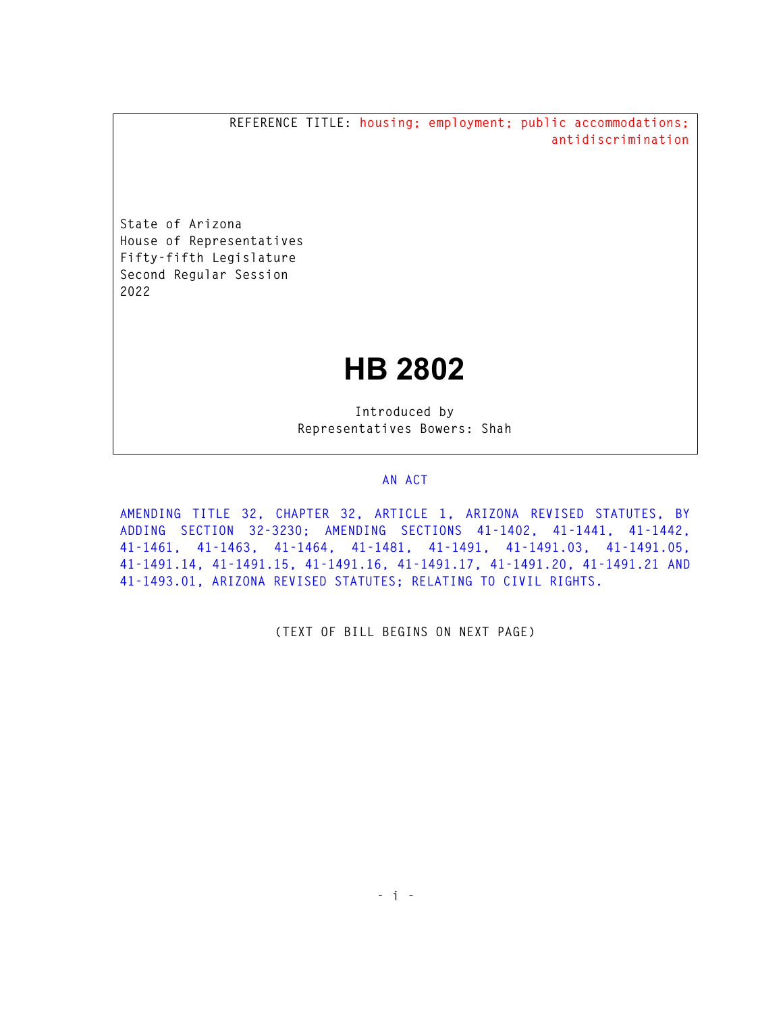**REFERENCE TITLE: housing; employment; public accommodations; antidiscrimination** 

**State of Arizona House of Representatives Fifty-fifth Legislature Second Regular Session 2022** 

## **HB 2802**

**Introduced by Representatives Bowers: Shah** 

## **AN ACT**

**AMENDING TITLE 32, CHAPTER 32, ARTICLE 1, ARIZONA REVISED STATUTES, BY ADDING SECTION 32-3230; AMENDING SECTIONS 41-1402, 41-1441, 41-1442, 41-1461, 41-1463, 41-1464, 41-1481, 41-1491, 41-1491.03, 41-1491.05, 41-1491.14, 41-1491.15, 41-1491.16, 41-1491.17, 41-1491.20, 41-1491.21 AND 41-1493.01, ARIZONA REVISED STATUTES; RELATING TO CIVIL RIGHTS.** 

**(TEXT OF BILL BEGINS ON NEXT PAGE)**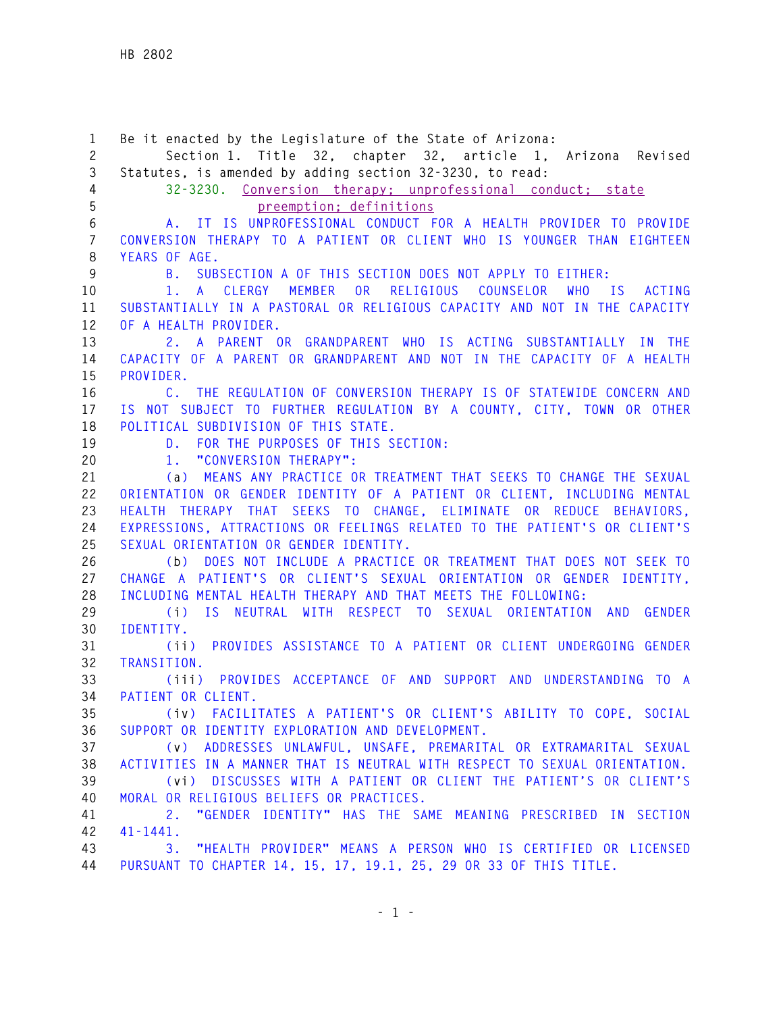**1 Be it enacted by the Legislature of the State of Arizona: 2 Section 1. Title 32, chapter 32, article 1, Arizona Revised 3 Statutes, is amended by adding section 32-3230, to read: 4 32-3230. Conversion therapy; unprofessional conduct; state 5 preemption; definitions 6 A. IT IS UNPROFESSIONAL CONDUCT FOR A HEALTH PROVIDER TO PROVIDE 7 CONVERSION THERAPY TO A PATIENT OR CLIENT WHO IS YOUNGER THAN EIGHTEEN 8 YEARS OF AGE. 9 B. SUBSECTION A OF THIS SECTION DOES NOT APPLY TO EITHER: 10 1. A CLERGY MEMBER OR RELIGIOUS COUNSELOR WHO IS ACTING 11 SUBSTANTIALLY IN A PASTORAL OR RELIGIOUS CAPACITY AND NOT IN THE CAPACITY 12 OF A HEALTH PROVIDER. 13 2. A PARENT OR GRANDPARENT WHO IS ACTING SUBSTANTIALLY IN THE 14 CAPACITY OF A PARENT OR GRANDPARENT AND NOT IN THE CAPACITY OF A HEALTH 15 PROVIDER. 16 C. THE REGULATION OF CONVERSION THERAPY IS OF STATEWIDE CONCERN AND 17 IS NOT SUBJECT TO FURTHER REGULATION BY A COUNTY, CITY, TOWN OR OTHER 18 POLITICAL SUBDIVISION OF THIS STATE. 19 D. FOR THE PURPOSES OF THIS SECTION: 20 1. "CONVERSION THERAPY": 21 (a) MEANS ANY PRACTICE OR TREATMENT THAT SEEKS TO CHANGE THE SEXUAL 22 ORIENTATION OR GENDER IDENTITY OF A PATIENT OR CLIENT, INCLUDING MENTAL 23 HEALTH THERAPY THAT SEEKS TO CHANGE, ELIMINATE OR REDUCE BEHAVIORS, 24 EXPRESSIONS, ATTRACTIONS OR FEELINGS RELATED TO THE PATIENT'S OR CLIENT'S 25 SEXUAL ORIENTATION OR GENDER IDENTITY. 26 (b) DOES NOT INCLUDE A PRACTICE OR TREATMENT THAT DOES NOT SEEK TO 27 CHANGE A PATIENT'S OR CLIENT'S SEXUAL ORIENTATION OR GENDER IDENTITY, 28 INCLUDING MENTAL HEALTH THERAPY AND THAT MEETS THE FOLLOWING: 29 (i) IS NEUTRAL WITH RESPECT TO SEXUAL ORIENTATION AND GENDER 30 IDENTITY. 31 (ii) PROVIDES ASSISTANCE TO A PATIENT OR CLIENT UNDERGOING GENDER 32 TRANSITION. 33 (iii) PROVIDES ACCEPTANCE OF AND SUPPORT AND UNDERSTANDING TO A 34 PATIENT OR CLIENT. 35 (iv) FACILITATES A PATIENT'S OR CLIENT'S ABILITY TO COPE, SOCIAL 36 SUPPORT OR IDENTITY EXPLORATION AND DEVELOPMENT. 37 (v) ADDRESSES UNLAWFUL, UNSAFE, PREMARITAL OR EXTRAMARITAL SEXUAL 38 ACTIVITIES IN A MANNER THAT IS NEUTRAL WITH RESPECT TO SEXUAL ORIENTATION. 39 (vi) DISCUSSES WITH A PATIENT OR CLIENT THE PATIENT'S OR CLIENT'S 40 MORAL OR RELIGIOUS BELIEFS OR PRACTICES. 41 2. "GENDER IDENTITY" HAS THE SAME MEANING PRESCRIBED IN SECTION 42 41-1441. 43 3. "HEALTH PROVIDER" MEANS A PERSON WHO IS CERTIFIED OR LICENSED 44 PURSUANT TO CHAPTER 14, 15, 17, 19.1, 25, 29 OR 33 OF THIS TITLE.**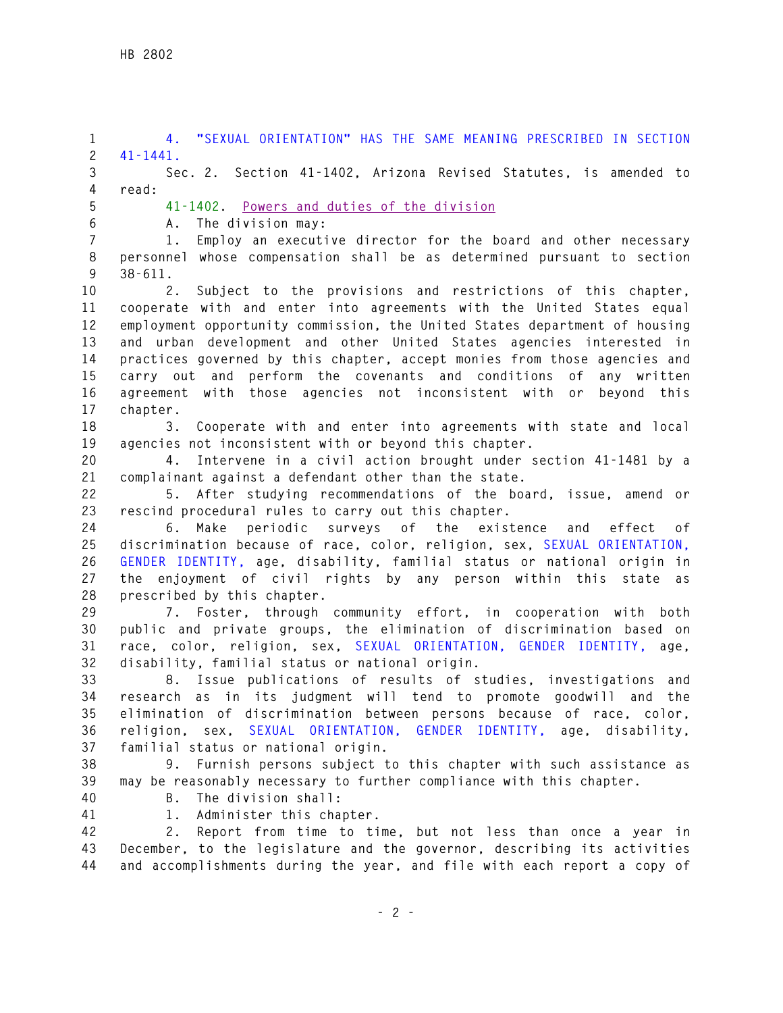**1 4. "SEXUAL ORIENTATION" HAS THE SAME MEANING PRESCRIBED IN SECTION 2 41-1441. 3 Sec. 2. Section 41-1402, Arizona Revised Statutes, is amended to 4 read: 5 41-1402. Powers and duties of the division 6 A. The division may: 7 1. Employ an executive director for the board and other necessary 8 personnel whose compensation shall be as determined pursuant to section 9 38-611. 10 2. Subject to the provisions and restrictions of this chapter, 11 cooperate with and enter into agreements with the United States equal 12 employment opportunity commission, the United States department of housing 13 and urban development and other United States agencies interested in 14 practices governed by this chapter, accept monies from those agencies and 15 carry out and perform the covenants and conditions of any written 16 agreement with those agencies not inconsistent with or beyond this 17 chapter. 18 3. Cooperate with and enter into agreements with state and local 19 agencies not inconsistent with or beyond this chapter. 20 4. Intervene in a civil action brought under section 41-1481 by a 21 complainant against a defendant other than the state. 22 5. After studying recommendations of the board, issue, amend or 23 rescind procedural rules to carry out this chapter. 24 6. Make periodic surveys of the existence and effect of 25 discrimination because of race, color, religion, sex, SEXUAL ORIENTATION, 26 GENDER IDENTITY, age, disability, familial status or national origin in 27 the enjoyment of civil rights by any person within this state as 28 prescribed by this chapter. 29 7. Foster, through community effort, in cooperation with both 30 public and private groups, the elimination of discrimination based on 31 race, color, religion, sex, SEXUAL ORIENTATION, GENDER IDENTITY, age, 32 disability, familial status or national origin. 33 8. Issue publications of results of studies, investigations and 34 research as in its judgment will tend to promote goodwill and the 35 elimination of discrimination between persons because of race, color, 36 religion, sex, SEXUAL ORIENTATION, GENDER IDENTITY, age, disability, 37 familial status or national origin. 38 9. Furnish persons subject to this chapter with such assistance as 39 may be reasonably necessary to further compliance with this chapter. 40 B. The division shall: 41 1. Administer this chapter. 42 2. Report from time to time, but not less than once a year in 43 December, to the legislature and the governor, describing its activities 44 and accomplishments during the year, and file with each report a copy of**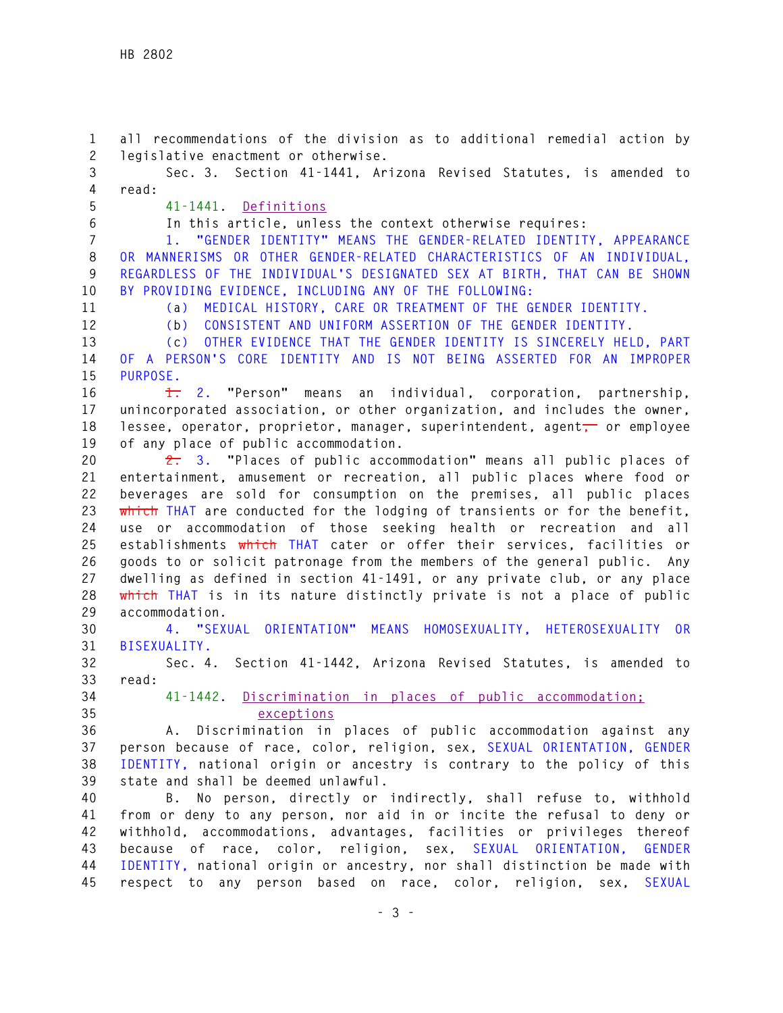**1 all recommendations of the division as to additional remedial action by 2 legislative enactment or otherwise.** 

**3 Sec. 3. Section 41-1441, Arizona Revised Statutes, is amended to 4 read:** 

**5 41-1441. Definitions**

**6 In this article, unless the context otherwise requires:**

**7 1. "GENDER IDENTITY" MEANS THE GENDER-RELATED IDENTITY, APPEARANCE 8 OR MANNERISMS OR OTHER GENDER-RELATED CHARACTERISTICS OF AN INDIVIDUAL, 9 REGARDLESS OF THE INDIVIDUAL'S DESIGNATED SEX AT BIRTH, THAT CAN BE SHOWN 10 BY PROVIDING EVIDENCE, INCLUDING ANY OF THE FOLLOWING:** 

**11 (a) MEDICAL HISTORY, CARE OR TREATMENT OF THE GENDER IDENTITY.** 

**12 (b) CONSISTENT AND UNIFORM ASSERTION OF THE GENDER IDENTITY.** 

**13 (c) OTHER EVIDENCE THAT THE GENDER IDENTITY IS SINCERELY HELD, PART** 

**14 OF A PERSON'S CORE IDENTITY AND IS NOT BEING ASSERTED FOR AN IMPROPER 15 PURPOSE.** 

**16 1. 2. "Person" means an individual, corporation, partnership, 17 unincorporated association, or other organization, and includes the owner, 18 lessee, operator, proprietor, manager, superintendent, agent, or employee 19 of any place of public accommodation.** 

**20 2. 3. "Places of public accommodation" means all public places of 21 entertainment, amusement or recreation, all public places where food or 22 beverages are sold for consumption on the premises, all public places 23 which THAT are conducted for the lodging of transients or for the benefit, 24 use or accommodation of those seeking health or recreation and all 25 establishments which THAT cater or offer their services, facilities or 26 goods to or solicit patronage from the members of the general public. Any 27 dwelling as defined in section 41-1491, or any private club, or any place 28 which THAT is in its nature distinctly private is not a place of public 29 accommodation.**

**30 4. "SEXUAL ORIENTATION" MEANS HOMOSEXUALITY, HETEROSEXUALITY OR 31 BISEXUALITY.** 

**32 Sec. 4. Section 41-1442, Arizona Revised Statutes, is amended to 33 read:** 

- 
- 

**34 41-1442. Discrimination in places of public accommodation; 35 exceptions**

**36 A. Discrimination in places of public accommodation against any 37 person because of race, color, religion, sex, SEXUAL ORIENTATION, GENDER 38 IDENTITY, national origin or ancestry is contrary to the policy of this 39 state and shall be deemed unlawful.** 

**40 B. No person, directly or indirectly, shall refuse to, withhold 41 from or deny to any person, nor aid in or incite the refusal to deny or 42 withhold, accommodations, advantages, facilities or privileges thereof 43 because of race, color, religion, sex, SEXUAL ORIENTATION, GENDER 44 IDENTITY, national origin or ancestry, nor shall distinction be made with 45 respect to any person based on race, color, religion, sex, SEXUAL**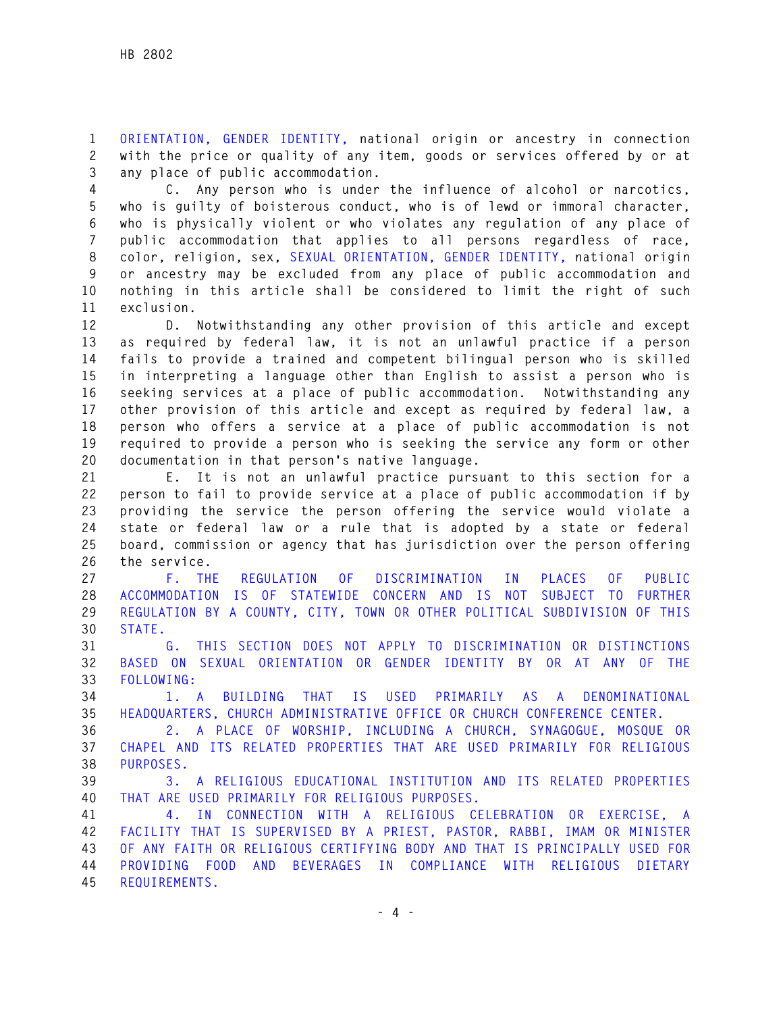**1 ORIENTATION, GENDER IDENTITY, national origin or ancestry in connection 2 with the price or quality of any item, goods or services offered by or at 3 any place of public accommodation.** 

**4 C. Any person who is under the influence of alcohol or narcotics, 5 who is guilty of boisterous conduct, who is of lewd or immoral character, 6 who is physically violent or who violates any regulation of any place of 7 public accommodation that applies to all persons regardless of race, 8 color, religion, sex, SEXUAL ORIENTATION, GENDER IDENTITY, national origin 9 or ancestry may be excluded from any place of public accommodation and 10 nothing in this article shall be considered to limit the right of such 11 exclusion.** 

**12 D. Notwithstanding any other provision of this article and except 13 as required by federal law, it is not an unlawful practice if a person 14 fails to provide a trained and competent bilingual person who is skilled 15 in interpreting a language other than English to assist a person who is 16 seeking services at a place of public accommodation. Notwithstanding any 17 other provision of this article and except as required by federal law, a 18 person who offers a service at a place of public accommodation is not 19 required to provide a person who is seeking the service any form or other 20 documentation in that person's native language.** 

**21 E. It is not an unlawful practice pursuant to this section for a 22 person to fail to provide service at a place of public accommodation if by 23 providing the service the person offering the service would violate a 24 state or federal law or a rule that is adopted by a state or federal 25 board, commission or agency that has jurisdiction over the person offering 26 the service.** 

**27 F. THE REGULATION OF DISCRIMINATION IN PLACES OF PUBLIC 28 ACCOMMODATION IS OF STATEWIDE CONCERN AND IS NOT SUBJECT TO FURTHER 29 REGULATION BY A COUNTY, CITY, TOWN OR OTHER POLITICAL SUBDIVISION OF THIS 30 STATE.** 

**31 G. THIS SECTION DOES NOT APPLY TO DISCRIMINATION OR DISTINCTIONS 32 BASED ON SEXUAL ORIENTATION OR GENDER IDENTITY BY OR AT ANY OF THE 33 FOLLOWING:** 

**34 1. A BUILDING THAT IS USED PRIMARILY AS A DENOMINATIONAL 35 HEADQUARTERS, CHURCH ADMINISTRATIVE OFFICE OR CHURCH CONFERENCE CENTER.** 

**36 2. A PLACE OF WORSHIP, INCLUDING A CHURCH, SYNAGOGUE, MOSQUE OR 37 CHAPEL AND ITS RELATED PROPERTIES THAT ARE USED PRIMARILY FOR RELIGIOUS 38 PURPOSES.** 

**39 3. A RELIGIOUS EDUCATIONAL INSTITUTION AND ITS RELATED PROPERTIES 40 THAT ARE USED PRIMARILY FOR RELIGIOUS PURPOSES.** 

**41 4. IN CONNECTION WITH A RELIGIOUS CELEBRATION OR EXERCISE, A 42 FACILITY THAT IS SUPERVISED BY A PRIEST, PASTOR, RABBI, IMAM OR MINISTER 43 OF ANY FAITH OR RELIGIOUS CERTIFYING BODY AND THAT IS PRINCIPALLY USED FOR 44 PROVIDING FOOD AND BEVERAGES IN COMPLIANCE WITH RELIGIOUS DIETARY 45 REQUIREMENTS.**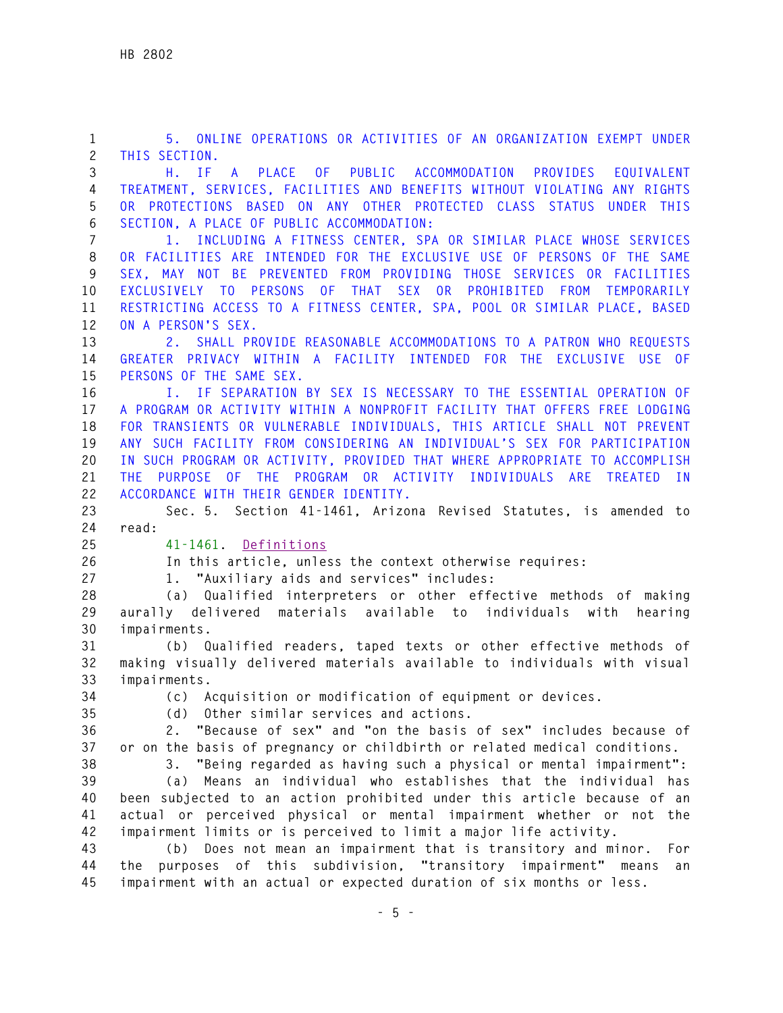**1 5. ONLINE OPERATIONS OR ACTIVITIES OF AN ORGANIZATION EXEMPT UNDER 2 THIS SECTION. 3 H. IF A PLACE OF PUBLIC ACCOMMODATION PROVIDES EQUIVALENT 4 TREATMENT, SERVICES, FACILITIES AND BENEFITS WITHOUT VIOLATING ANY RIGHTS 5 OR PROTECTIONS BASED ON ANY OTHER PROTECTED CLASS STATUS UNDER THIS 6 SECTION, A PLACE OF PUBLIC ACCOMMODATION: 7 1. INCLUDING A FITNESS CENTER, SPA OR SIMILAR PLACE WHOSE SERVICES 8 OR FACILITIES ARE INTENDED FOR THE EXCLUSIVE USE OF PERSONS OF THE SAME 9 SEX, MAY NOT BE PREVENTED FROM PROVIDING THOSE SERVICES OR FACILITIES 10 EXCLUSIVELY TO PERSONS OF THAT SEX OR PROHIBITED FROM TEMPORARILY 11 RESTRICTING ACCESS TO A FITNESS CENTER, SPA, POOL OR SIMILAR PLACE, BASED 12 ON A PERSON'S SEX. 13 2. SHALL PROVIDE REASONABLE ACCOMMODATIONS TO A PATRON WHO REQUESTS 14 GREATER PRIVACY WITHIN A FACILITY INTENDED FOR THE EXCLUSIVE USE OF 15 PERSONS OF THE SAME SEX. 16 I. IF SEPARATION BY SEX IS NECESSARY TO THE ESSENTIAL OPERATION OF 17 A PROGRAM OR ACTIVITY WITHIN A NONPROFIT FACILITY THAT OFFERS FREE LODGING 18 FOR TRANSIENTS OR VULNERABLE INDIVIDUALS, THIS ARTICLE SHALL NOT PREVENT 19 ANY SUCH FACILITY FROM CONSIDERING AN INDIVIDUAL'S SEX FOR PARTICIPATION 20 IN SUCH PROGRAM OR ACTIVITY, PROVIDED THAT WHERE APPROPRIATE TO ACCOMPLISH 21 THE PURPOSE OF THE PROGRAM OR ACTIVITY INDIVIDUALS ARE TREATED IN 22 ACCORDANCE WITH THEIR GENDER IDENTITY. 23 Sec. 5. Section 41-1461, Arizona Revised Statutes, is amended to 24 read: 25 41-1461. Definitions 26 In this article, unless the context otherwise requires: 27 1. "Auxiliary aids and services" includes: 28 (a) Qualified interpreters or other effective methods of making 29 aurally delivered materials available to individuals with hearing 30 impairments. 31 (b) Qualified readers, taped texts or other effective methods of 32 making visually delivered materials available to individuals with visual 33 impairments. 34 (c) Acquisition or modification of equipment or devices. 35 (d) Other similar services and actions. 36 2. "Because of sex" and "on the basis of sex" includes because of 37 or on the basis of pregnancy or childbirth or related medical conditions. 38 3. "Being regarded as having such a physical or mental impairment": 39 (a) Means an individual who establishes that the individual has 40 been subjected to an action prohibited under this article because of an 41 actual or perceived physical or mental impairment whether or not the 42 impairment limits or is perceived to limit a major life activity. 43 (b) Does not mean an impairment that is transitory and minor. For 44 the purposes of this subdivision, "transitory impairment" means an 45 impairment with an actual or expected duration of six months or less.**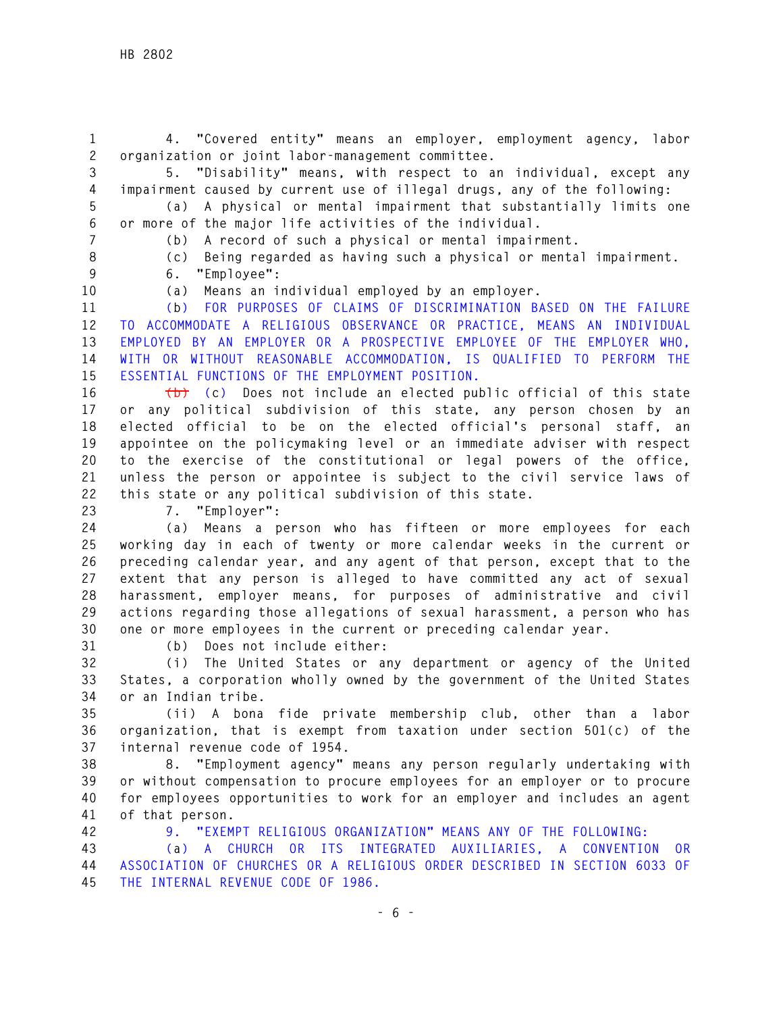**1 4. "Covered entity" means an employer, employment agency, labor 2 organization or joint labor-management committee.** 

**3 5. "Disability" means, with respect to an individual, except any 4 impairment caused by current use of illegal drugs, any of the following: 5 (a) A physical or mental impairment that substantially limits one** 

**6 or more of the major life activities of the individual.** 

**7 (b) A record of such a physical or mental impairment.** 

- 
- 

**8 (c) Being regarded as having such a physical or mental impairment.** 

- **9 6. "Employee":**
- 

**10 (a) Means an individual employed by an employer.**

**11 (b) FOR PURPOSES OF CLAIMS OF DISCRIMINATION BASED ON THE FAILURE 12 TO ACCOMMODATE A RELIGIOUS OBSERVANCE OR PRACTICE, MEANS AN INDIVIDUAL 13 EMPLOYED BY AN EMPLOYER OR A PROSPECTIVE EMPLOYEE OF THE EMPLOYER WHO, 14 WITH OR WITHOUT REASONABLE ACCOMMODATION, IS QUALIFIED TO PERFORM THE 15 ESSENTIAL FUNCTIONS OF THE EMPLOYMENT POSITION.** 

**16 (b) (c) Does not include an elected public official of this state 17 or any political subdivision of this state, any person chosen by an 18 elected official to be on the elected official's personal staff, an 19 appointee on the policymaking level or an immediate adviser with respect 20 to the exercise of the constitutional or legal powers of the office, 21 unless the person or appointee is subject to the civil service laws of 22 this state or any political subdivision of this state.**

**23 7. "Employer":** 

**24 (a) Means a person who has fifteen or more employees for each 25 working day in each of twenty or more calendar weeks in the current or 26 preceding calendar year, and any agent of that person, except that to the 27 extent that any person is alleged to have committed any act of sexual 28 harassment, employer means, for purposes of administrative and civil 29 actions regarding those allegations of sexual harassment, a person who has 30 one or more employees in the current or preceding calendar year.**

**31 (b) Does not include either:** 

**32 (i) The United States or any department or agency of the United 33 States, a corporation wholly owned by the government of the United States 34 or an Indian tribe.** 

**35 (ii) A bona fide private membership club, other than a labor 36 organization, that is exempt from taxation under section 501(c) of the 37 internal revenue code of 1954.** 

**38 8. "Employment agency" means any person regularly undertaking with 39 or without compensation to procure employees for an employer or to procure 40 for employees opportunities to work for an employer and includes an agent 41 of that person.**

**42 9. "EXEMPT RELIGIOUS ORGANIZATION" MEANS ANY OF THE FOLLOWING:** 

**43 (a) A CHURCH OR ITS INTEGRATED AUXILIARIES, A CONVENTION OR 44 ASSOCIATION OF CHURCHES OR A RELIGIOUS ORDER DESCRIBED IN SECTION 6033 OF 45 THE INTERNAL REVENUE CODE OF 1986.**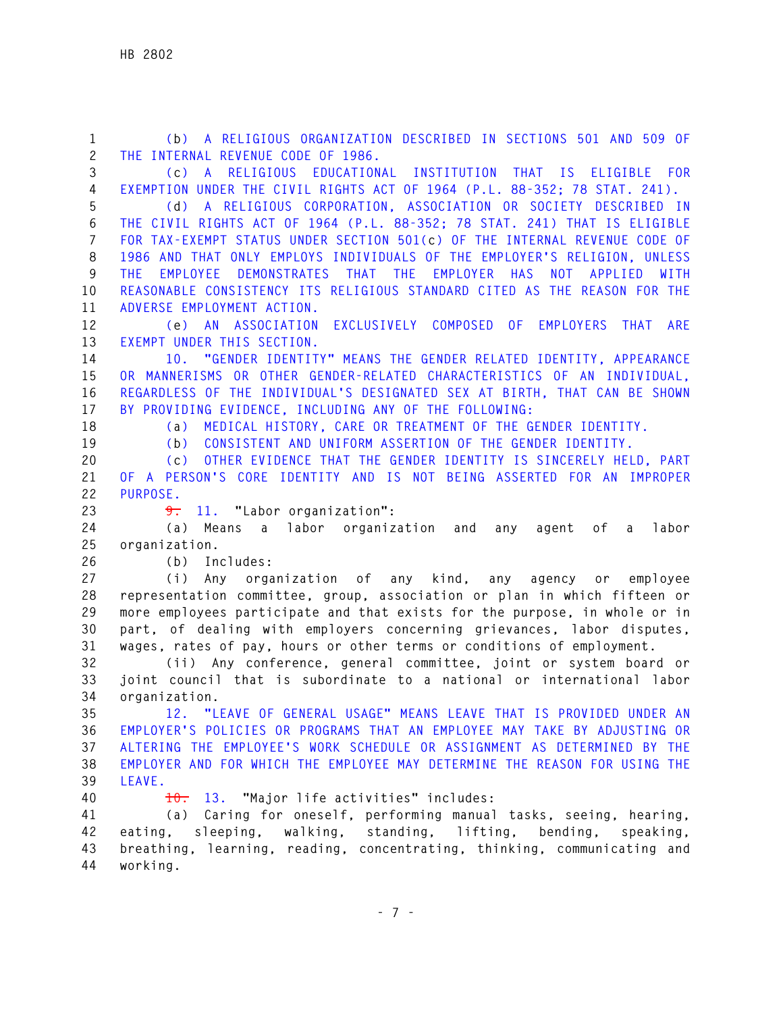| $\mathbf{1}$   | (b) A RELIGIOUS ORGANIZATION DESCRIBED IN SECTIONS 501 AND 509 OF                       |
|----------------|-----------------------------------------------------------------------------------------|
| $\overline{c}$ | THE INTERNAL REVENUE CODE OF 1986.                                                      |
| 3              | (c) A RELIGIOUS EDUCATIONAL INSTITUTION THAT IS ELIGIBLE FOR                            |
| $\overline{4}$ | EXEMPTION UNDER THE CIVIL RIGHTS ACT OF 1964 (P.L. 88-352; 78 STAT. 241).               |
| 5              | A RELIGIOUS CORPORATION, ASSOCIATION OR SOCIETY DESCRIBED IN<br>(d)                     |
| 6              | THE CIVIL RIGHTS ACT OF 1964 (P.L. 88-352; 78 STAT. 241) THAT IS ELIGIBLE               |
| $\overline{7}$ | FOR TAX-EXEMPT STATUS UNDER SECTION 501(c) OF THE INTERNAL REVENUE CODE OF              |
| 8              | 1986 AND THAT ONLY EMPLOYS INDIVIDUALS OF THE EMPLOYER'S RELIGION, UNLESS               |
| 9              | EMPLOYEE DEMONSTRATES THAT THE EMPLOYER HAS<br><b>NOT</b><br>APPLIED WITH<br><b>THF</b> |
| 10             | REASONABLE CONSISTENCY ITS RELIGIOUS STANDARD CITED AS THE REASON FOR THE               |
| 11             | ADVERSE EMPLOYMENT ACTION.                                                              |
| 12             | (e) AN ASSOCIATION EXCLUSIVELY COMPOSED OF<br>EMPLOYERS THAT ARE                        |
| 13             | EXEMPT UNDER THIS SECTION.                                                              |
| 14             | 10. "GENDER IDENTITY" MEANS THE GENDER RELATED IDENTITY, APPEARANCE                     |
| 15             | OR MANNERISMS OR OTHER GENDER-RELATED CHARACTERISTICS OF AN INDIVIDUAL.                 |
| 16             | REGARDLESS OF THE INDIVIDUAL'S DESIGNATED SEX AT BIRTH, THAT CAN BE SHOWN               |
| 17             | BY PROVIDING EVIDENCE, INCLUDING ANY OF THE FOLLOWING:                                  |
| 18             | MEDICAL HISTORY, CARE OR TREATMENT OF THE GENDER IDENTITY.<br>(a)                       |
| 19             | CONSISTENT AND UNIFORM ASSERTION OF THE GENDER IDENTITY.<br>(b)                         |
| 20             | OTHER EVIDENCE THAT THE GENDER IDENTITY IS SINCERELY HELD, PART<br>(c)                  |
| 21             | OF A PERSON'S CORE IDENTITY AND IS NOT BEING ASSERTED FOR AN IMPROPER                   |
| 22             | PURPOSE.                                                                                |
| 23             | 11. "Labor organization":<br>$\overline{9}$ .                                           |
| 24             | Means a labor organization and<br>labor<br>(a)<br>agent<br>of a<br>any                  |
| 25             | organization.                                                                           |
| 26             | Includes:<br>(b)                                                                        |
| 27             | Any organization of any kind, any agency or<br>(i)<br>employee                          |
| 28             | representation committee, group, association or plan in which fifteen or                |
| 29             | more employees participate and that exists for the purpose, in whole or in              |
| 30             | part, of dealing with employers concerning grievances, labor disputes,                  |
| 31             | wages, rates of pay, hours or other terms or conditions of employment.                  |
| 32             | (ii) Any conference, general committee, joint or system board or                        |
| 33             | joint council that is subordinate to a national or international labor                  |
| 34             | organization.                                                                           |
| 35             | "LEAVE OF GENERAL USAGE" MEANS LEAVE THAT IS PROVIDED UNDER AN<br>12.                   |
| 36             | EMPLOYER'S POLICIES OR PROGRAMS THAT AN EMPLOYEE MAY TAKE BY ADJUSTING OR               |
| 37             | ALTERING THE EMPLOYEE'S WORK SCHEDULE OR ASSIGNMENT AS DETERMINED BY THE                |
| 38             | EMPLOYER AND FOR WHICH THE EMPLOYEE MAY DETERMINE THE REASON FOR USING THE              |
| 39             | LEAVE.                                                                                  |
| 40             | 13. "Major life activities" includes:<br>$\pm 0$ .                                      |
| 41             | (a) Caring for oneself, performing manual tasks, seeing, hearing,                       |
| 42             | sleeping, walking, standing, lifting, bending,<br>eating,<br>speaking,                  |
| 43             | breathing, learning, reading, concentrating, thinking, communicating and                |
| 44             | working.                                                                                |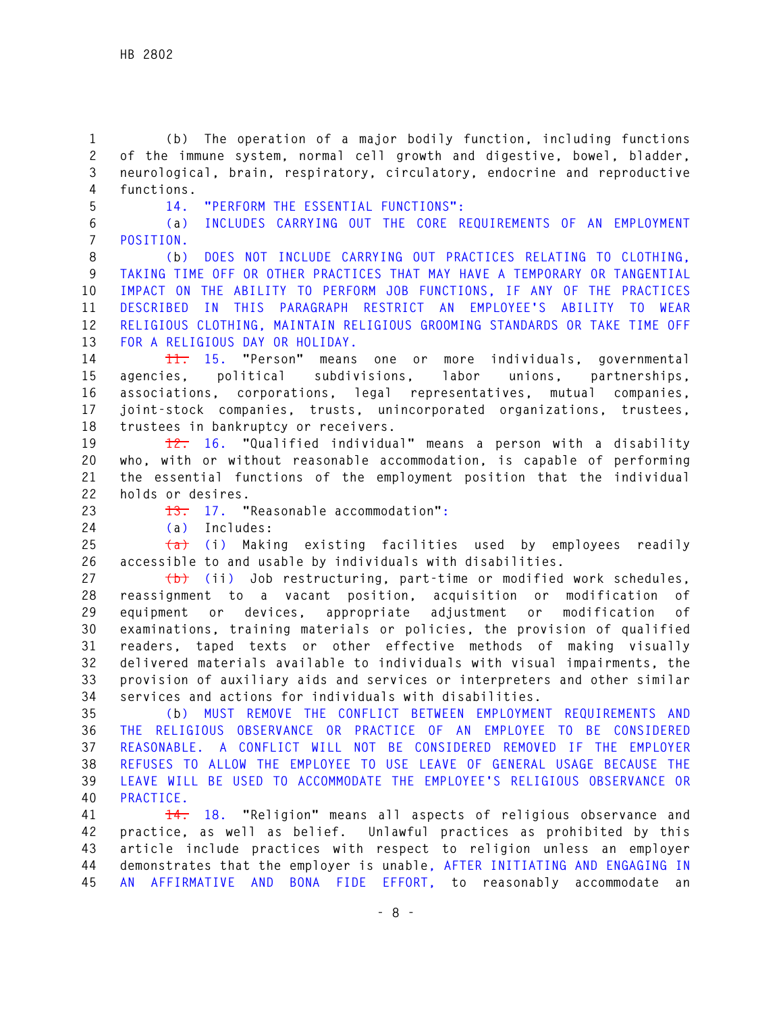**1 (b) The operation of a major bodily function, including functions 2 of the immune system, normal cell growth and digestive, bowel, bladder, 3 neurological, brain, respiratory, circulatory, endocrine and reproductive 4 functions.**

**5 14. "PERFORM THE ESSENTIAL FUNCTIONS":** 

**6 (a) INCLUDES CARRYING OUT THE CORE REQUIREMENTS OF AN EMPLOYMENT 7 POSITION.** 

**8 (b) DOES NOT INCLUDE CARRYING OUT PRACTICES RELATING TO CLOTHING, 9 TAKING TIME OFF OR OTHER PRACTICES THAT MAY HAVE A TEMPORARY OR TANGENTIAL 10 IMPACT ON THE ABILITY TO PERFORM JOB FUNCTIONS, IF ANY OF THE PRACTICES 11 DESCRIBED IN THIS PARAGRAPH RESTRICT AN EMPLOYEE'S ABILITY TO WEAR 12 RELIGIOUS CLOTHING, MAINTAIN RELIGIOUS GROOMING STANDARDS OR TAKE TIME OFF 13 FOR A RELIGIOUS DAY OR HOLIDAY.** 

**14 11. 15. "Person" means one or more individuals, governmental 15 agencies, political subdivisions, labor unions, partnerships, 16 associations, corporations, legal representatives, mutual companies, 17 joint-stock companies, trusts, unincorporated organizations, trustees, 18 trustees in bankruptcy or receivers.** 

**19 12. 16. "Qualified individual" means a person with a disability 20 who, with or without reasonable accommodation, is capable of performing 21 the essential functions of the employment position that the individual 22 holds or desires.** 

**23 13. 17. "Reasonable accommodation":** 

**24 (a) Includes:** 

**25 (a) (i) Making existing facilities used by employees readily 26 accessible to and usable by individuals with disabilities.** 

**27 (b) (ii) Job restructuring, part-time or modified work schedules, 28 reassignment to a vacant position, acquisition or modification of 29 equipment or devices, appropriate adjustment or modification of 30 examinations, training materials or policies, the provision of qualified 31 readers, taped texts or other effective methods of making visually 32 delivered materials available to individuals with visual impairments, the 33 provision of auxiliary aids and services or interpreters and other similar 34 services and actions for individuals with disabilities.**

**35 (b) MUST REMOVE THE CONFLICT BETWEEN EMPLOYMENT REQUIREMENTS AND 36 THE RELIGIOUS OBSERVANCE OR PRACTICE OF AN EMPLOYEE TO BE CONSIDERED 37 REASONABLE. A CONFLICT WILL NOT BE CONSIDERED REMOVED IF THE EMPLOYER 38 REFUSES TO ALLOW THE EMPLOYEE TO USE LEAVE OF GENERAL USAGE BECAUSE THE 39 LEAVE WILL BE USED TO ACCOMMODATE THE EMPLOYEE'S RELIGIOUS OBSERVANCE OR 40 PRACTICE.** 

**41 14. 18. "Religion" means all aspects of religious observance and 42 practice, as well as belief. Unlawful practices as prohibited by this 43 article include practices with respect to religion unless an employer 44 demonstrates that the employer is unable, AFTER INITIATING AND ENGAGING IN 45 AN AFFIRMATIVE AND BONA FIDE EFFORT, to reasonably accommodate an**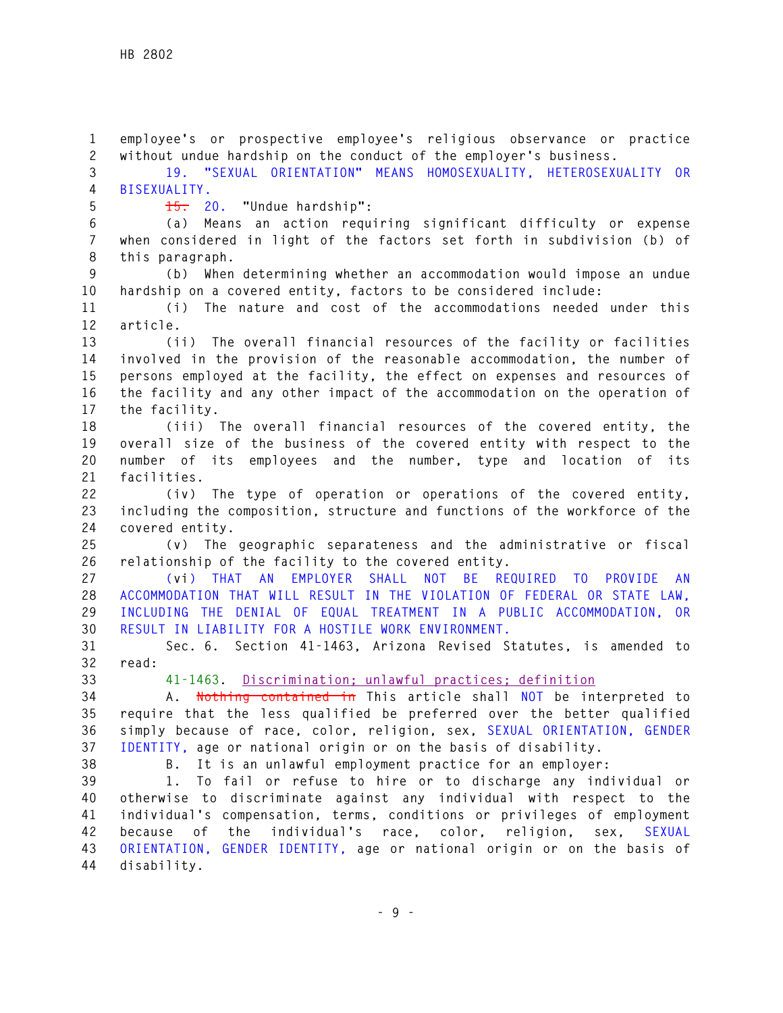**1 employee's or prospective employee's religious observance or practice 2 without undue hardship on the conduct of the employer's business. 3 19. "SEXUAL ORIENTATION" MEANS HOMOSEXUALITY, HETEROSEXUALITY OR 4 BISEXUALITY. 5 15. 20. "Undue hardship": 6 (a) Means an action requiring significant difficulty or expense 7 when considered in light of the factors set forth in subdivision (b) of 8 this paragraph. 9 (b) When determining whether an accommodation would impose an undue 10 hardship on a covered entity, factors to be considered include: 11 (i) The nature and cost of the accommodations needed under this 12 article. 13 (ii) The overall financial resources of the facility or facilities 14 involved in the provision of the reasonable accommodation, the number of 15 persons employed at the facility, the effect on expenses and resources of 16 the facility and any other impact of the accommodation on the operation of 17 the facility. 18 (iii) The overall financial resources of the covered entity, the 19 overall size of the business of the covered entity with respect to the 20 number of its employees and the number, type and location of its 21 facilities. 22 (iv) The type of operation or operations of the covered entity, 23 including the composition, structure and functions of the workforce of the 24 covered entity. 25 (v) The geographic separateness and the administrative or fiscal 26 relationship of the facility to the covered entity. 27 (vi) THAT AN EMPLOYER SHALL NOT BE REQUIRED TO PROVIDE AN 28 ACCOMMODATION THAT WILL RESULT IN THE VIOLATION OF FEDERAL OR STATE LAW, 29 INCLUDING THE DENIAL OF EQUAL TREATMENT IN A PUBLIC ACCOMMODATION, OR 30 RESULT IN LIABILITY FOR A HOSTILE WORK ENVIRONMENT. 31 Sec. 6. Section 41-1463, Arizona Revised Statutes, is amended to 32 read: 33 41-1463. Discrimination; unlawful practices; definition 34 A. Nothing contained in This article shall NOT be interpreted to 35 require that the less qualified be preferred over the better qualified 36 simply because of race, color, religion, sex, SEXUAL ORIENTATION, GENDER 37 IDENTITY, age or national origin or on the basis of disability. 38 B. It is an unlawful employment practice for an employer: 39 1. To fail or refuse to hire or to discharge any individual or 40 otherwise to discriminate against any individual with respect to the 41 individual's compensation, terms, conditions or privileges of employment 42 because of the individual's race, color, religion, sex, SEXUAL 43 ORIENTATION, GENDER IDENTITY, age or national origin or on the basis of 44 disability.**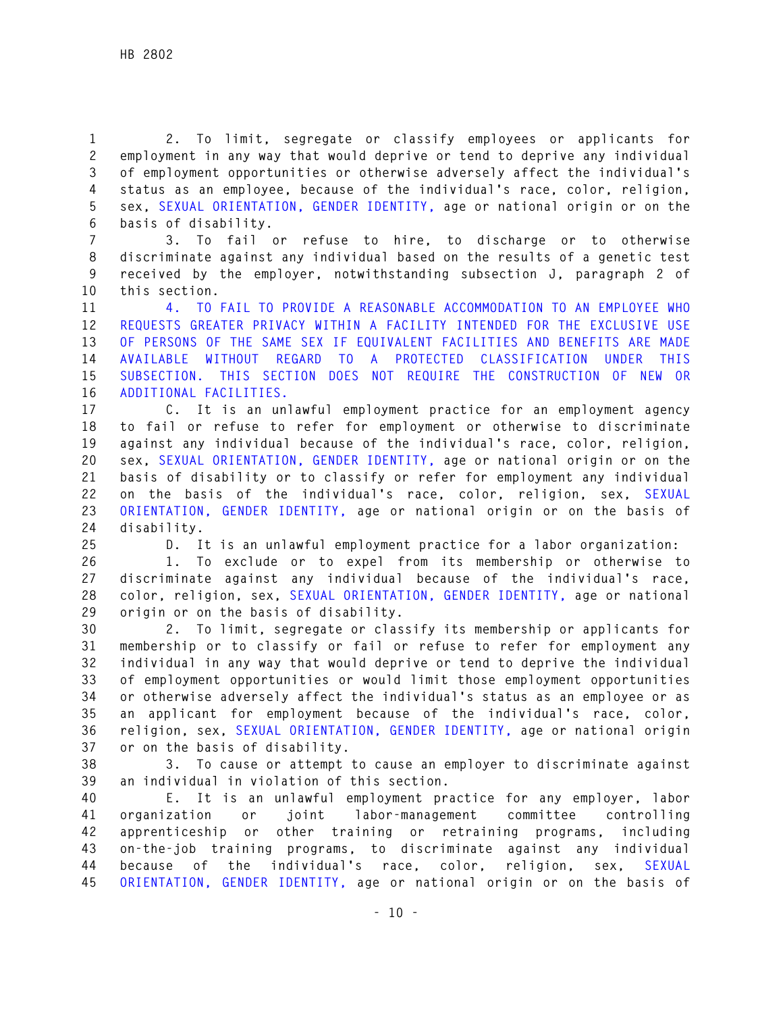**1 2. To limit, segregate or classify employees or applicants for 2 employment in any way that would deprive or tend to deprive any individual 3 of employment opportunities or otherwise adversely affect the individual's 4 status as an employee, because of the individual's race, color, religion, 5 sex, SEXUAL ORIENTATION, GENDER IDENTITY, age or national origin or on the 6 basis of disability.** 

**7 3. To fail or refuse to hire, to discharge or to otherwise 8 discriminate against any individual based on the results of a genetic test 9 received by the employer, notwithstanding subsection J, paragraph 2 of 10 this section.**

**11 4. TO FAIL TO PROVIDE A REASONABLE ACCOMMODATION TO AN EMPLOYEE WHO 12 REQUESTS GREATER PRIVACY WITHIN A FACILITY INTENDED FOR THE EXCLUSIVE USE 13 OF PERSONS OF THE SAME SEX IF EQUIVALENT FACILITIES AND BENEFITS ARE MADE 14 AVAILABLE WITHOUT REGARD TO A PROTECTED CLASSIFICATION UNDER THIS 15 SUBSECTION. THIS SECTION DOES NOT REQUIRE THE CONSTRUCTION OF NEW OR 16 ADDITIONAL FACILITIES.** 

**17 C. It is an unlawful employment practice for an employment agency 18 to fail or refuse to refer for employment or otherwise to discriminate 19 against any individual because of the individual's race, color, religion, 20 sex, SEXUAL ORIENTATION, GENDER IDENTITY, age or national origin or on the 21 basis of disability or to classify or refer for employment any individual 22 on the basis of the individual's race, color, religion, sex, SEXUAL 23 ORIENTATION, GENDER IDENTITY, age or national origin or on the basis of 24 disability.** 

**25 D. It is an unlawful employment practice for a labor organization:** 

**26 1. To exclude or to expel from its membership or otherwise to 27 discriminate against any individual because of the individual's race, 28 color, religion, sex, SEXUAL ORIENTATION, GENDER IDENTITY, age or national 29 origin or on the basis of disability.** 

**30 2. To limit, segregate or classify its membership or applicants for 31 membership or to classify or fail or refuse to refer for employment any 32 individual in any way that would deprive or tend to deprive the individual 33 of employment opportunities or would limit those employment opportunities 34 or otherwise adversely affect the individual's status as an employee or as 35 an applicant for employment because of the individual's race, color, 36 religion, sex, SEXUAL ORIENTATION, GENDER IDENTITY, age or national origin 37 or on the basis of disability.** 

**38 3. To cause or attempt to cause an employer to discriminate against 39 an individual in violation of this section.** 

**40 E. It is an unlawful employment practice for any employer, labor 41 organization or joint labor-management committee controlling 42 apprenticeship or other training or retraining programs, including 43 on-the-job training programs, to discriminate against any individual 44 because of the individual's race, color, religion, sex, SEXUAL 45 ORIENTATION, GENDER IDENTITY, age or national origin or on the basis of**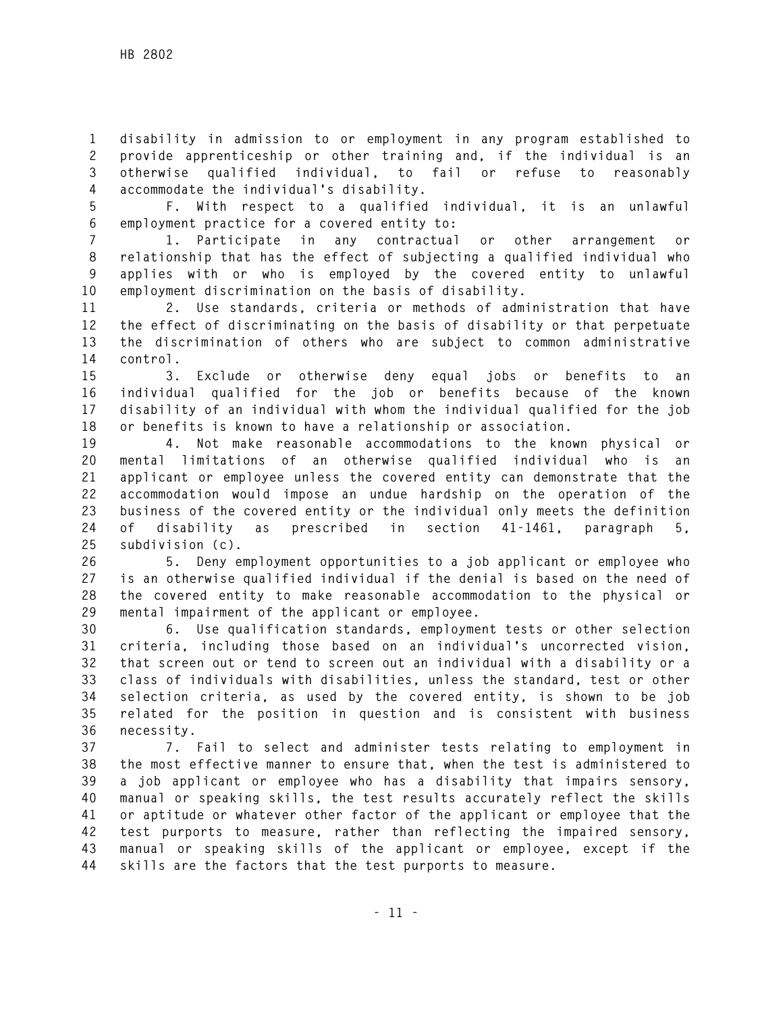**1 disability in admission to or employment in any program established to 2 provide apprenticeship or other training and, if the individual is an 3 otherwise qualified individual, to fail or refuse to reasonably 4 accommodate the individual's disability.** 

**5 F. With respect to a qualified individual, it is an unlawful 6 employment practice for a covered entity to:** 

**7 1. Participate in any contractual or other arrangement or 8 relationship that has the effect of subjecting a qualified individual who 9 applies with or who is employed by the covered entity to unlawful 10 employment discrimination on the basis of disability.** 

**11 2. Use standards, criteria or methods of administration that have 12 the effect of discriminating on the basis of disability or that perpetuate 13 the discrimination of others who are subject to common administrative 14 control.** 

**15 3. Exclude or otherwise deny equal jobs or benefits to an 16 individual qualified for the job or benefits because of the known 17 disability of an individual with whom the individual qualified for the job 18 or benefits is known to have a relationship or association.** 

**19 4. Not make reasonable accommodations to the known physical or 20 mental limitations of an otherwise qualified individual who is an 21 applicant or employee unless the covered entity can demonstrate that the 22 accommodation would impose an undue hardship on the operation of the 23 business of the covered entity or the individual only meets the definition 24 of disability as prescribed in section 41-1461, paragraph 5, 25 subdivision (c).** 

**26 5. Deny employment opportunities to a job applicant or employee who 27 is an otherwise qualified individual if the denial is based on the need of 28 the covered entity to make reasonable accommodation to the physical or 29 mental impairment of the applicant or employee.** 

**30 6. Use qualification standards, employment tests or other selection 31 criteria, including those based on an individual's uncorrected vision, 32 that screen out or tend to screen out an individual with a disability or a 33 class of individuals with disabilities, unless the standard, test or other 34 selection criteria, as used by the covered entity, is shown to be job 35 related for the position in question and is consistent with business 36 necessity.** 

**37 7. Fail to select and administer tests relating to employment in 38 the most effective manner to ensure that, when the test is administered to 39 a job applicant or employee who has a disability that impairs sensory, 40 manual or speaking skills, the test results accurately reflect the skills 41 or aptitude or whatever other factor of the applicant or employee that the 42 test purports to measure, rather than reflecting the impaired sensory, 43 manual or speaking skills of the applicant or employee, except if the 44 skills are the factors that the test purports to measure.**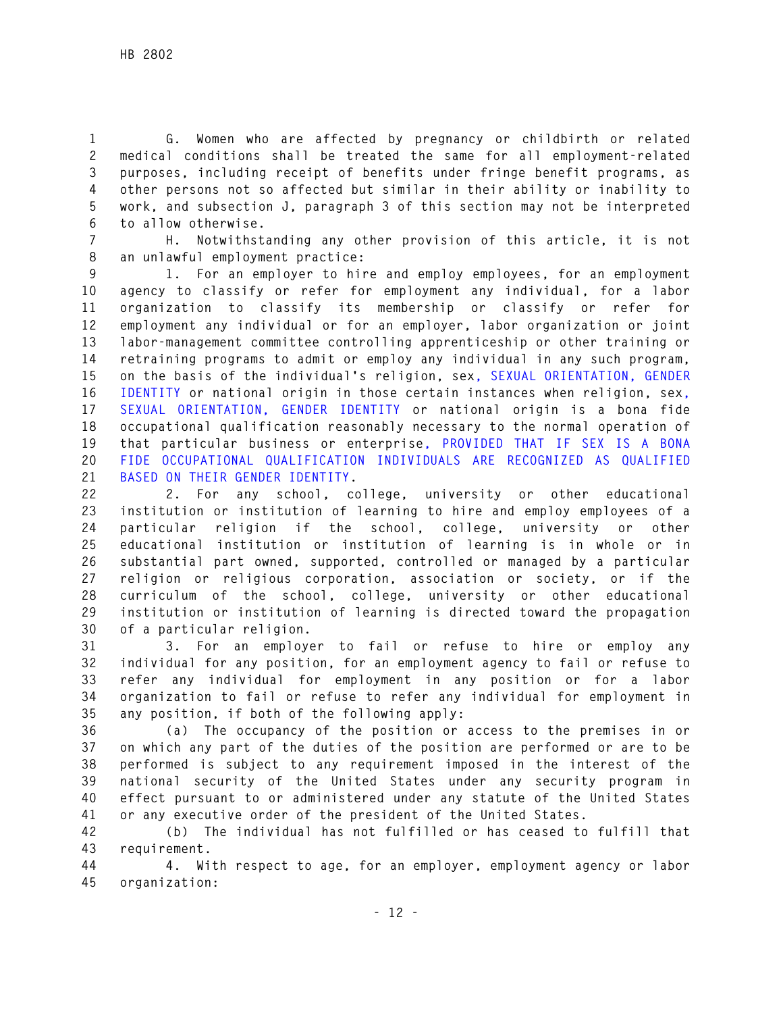**1 G. Women who are affected by pregnancy or childbirth or related 2 medical conditions shall be treated the same for all employment-related 3 purposes, including receipt of benefits under fringe benefit programs, as 4 other persons not so affected but similar in their ability or inability to 5 work, and subsection J, paragraph 3 of this section may not be interpreted 6 to allow otherwise.** 

**7 H. Notwithstanding any other provision of this article, it is not 8 an unlawful employment practice:** 

**9 1. For an employer to hire and employ employees, for an employment 10 agency to classify or refer for employment any individual, for a labor 11 organization to classify its membership or classify or refer for 12 employment any individual or for an employer, labor organization or joint 13 labor-management committee controlling apprenticeship or other training or 14 retraining programs to admit or employ any individual in any such program, 15 on the basis of the individual's religion, sex, SEXUAL ORIENTATION, GENDER 16 IDENTITY or national origin in those certain instances when religion, sex, 17 SEXUAL ORIENTATION, GENDER IDENTITY or national origin is a bona fide 18 occupational qualification reasonably necessary to the normal operation of 19 that particular business or enterprise, PROVIDED THAT IF SEX IS A BONA 20 FIDE OCCUPATIONAL QUALIFICATION INDIVIDUALS ARE RECOGNIZED AS QUALIFIED 21 BASED ON THEIR GENDER IDENTITY.** 

**22 2. For any school, college, university or other educational 23 institution or institution of learning to hire and employ employees of a 24 particular religion if the school, college, university or other 25 educational institution or institution of learning is in whole or in 26 substantial part owned, supported, controlled or managed by a particular 27 religion or religious corporation, association or society, or if the 28 curriculum of the school, college, university or other educational 29 institution or institution of learning is directed toward the propagation 30 of a particular religion.** 

**31 3. For an employer to fail or refuse to hire or employ any 32 individual for any position, for an employment agency to fail or refuse to 33 refer any individual for employment in any position or for a labor 34 organization to fail or refuse to refer any individual for employment in 35 any position, if both of the following apply:** 

**36 (a) The occupancy of the position or access to the premises in or 37 on which any part of the duties of the position are performed or are to be 38 performed is subject to any requirement imposed in the interest of the 39 national security of the United States under any security program in 40 effect pursuant to or administered under any statute of the United States 41 or any executive order of the president of the United States.** 

**42 (b) The individual has not fulfilled or has ceased to fulfill that 43 requirement.** 

**44 4. With respect to age, for an employer, employment agency or labor 45 organization:**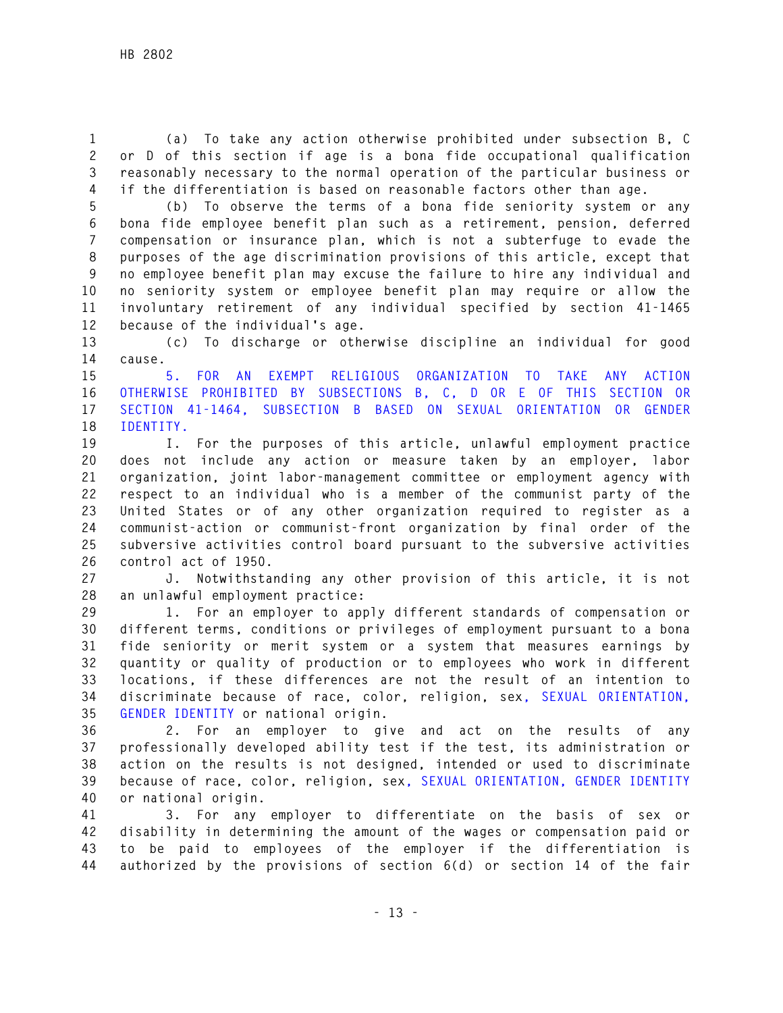**1 (a) To take any action otherwise prohibited under subsection B, C 2 or D of this section if age is a bona fide occupational qualification 3 reasonably necessary to the normal operation of the particular business or 4 if the differentiation is based on reasonable factors other than age.** 

**5 (b) To observe the terms of a bona fide seniority system or any 6 bona fide employee benefit plan such as a retirement, pension, deferred 7 compensation or insurance plan, which is not a subterfuge to evade the 8 purposes of the age discrimination provisions of this article, except that 9 no employee benefit plan may excuse the failure to hire any individual and 10 no seniority system or employee benefit plan may require or allow the 11 involuntary retirement of any individual specified by section 41-1465 12 because of the individual's age.** 

**13 (c) To discharge or otherwise discipline an individual for good 14 cause.** 

**15 5. FOR AN EXEMPT RELIGIOUS ORGANIZATION TO TAKE ANY ACTION 16 OTHERWISE PROHIBITED BY SUBSECTIONS B, C, D OR E OF THIS SECTION OR 17 SECTION 41-1464, SUBSECTION B BASED ON SEXUAL ORIENTATION OR GENDER 18 IDENTITY.** 

**19 I. For the purposes of this article, unlawful employment practice 20 does not include any action or measure taken by an employer, labor 21 organization, joint labor-management committee or employment agency with 22 respect to an individual who is a member of the communist party of the 23 United States or of any other organization required to register as a 24 communist-action or communist-front organization by final order of the 25 subversive activities control board pursuant to the subversive activities 26 control act of 1950.** 

**27 J. Notwithstanding any other provision of this article, it is not 28 an unlawful employment practice:** 

**29 1. For an employer to apply different standards of compensation or 30 different terms, conditions or privileges of employment pursuant to a bona 31 fide seniority or merit system or a system that measures earnings by 32 quantity or quality of production or to employees who work in different 33 locations, if these differences are not the result of an intention to 34 discriminate because of race, color, religion, sex, SEXUAL ORIENTATION, 35 GENDER IDENTITY or national origin.** 

**36 2. For an employer to give and act on the results of any 37 professionally developed ability test if the test, its administration or 38 action on the results is not designed, intended or used to discriminate 39 because of race, color, religion, sex, SEXUAL ORIENTATION, GENDER IDENTITY 40 or national origin.** 

**41 3. For any employer to differentiate on the basis of sex or 42 disability in determining the amount of the wages or compensation paid or 43 to be paid to employees of the employer if the differentiation is 44 authorized by the provisions of section 6(d) or section 14 of the fair**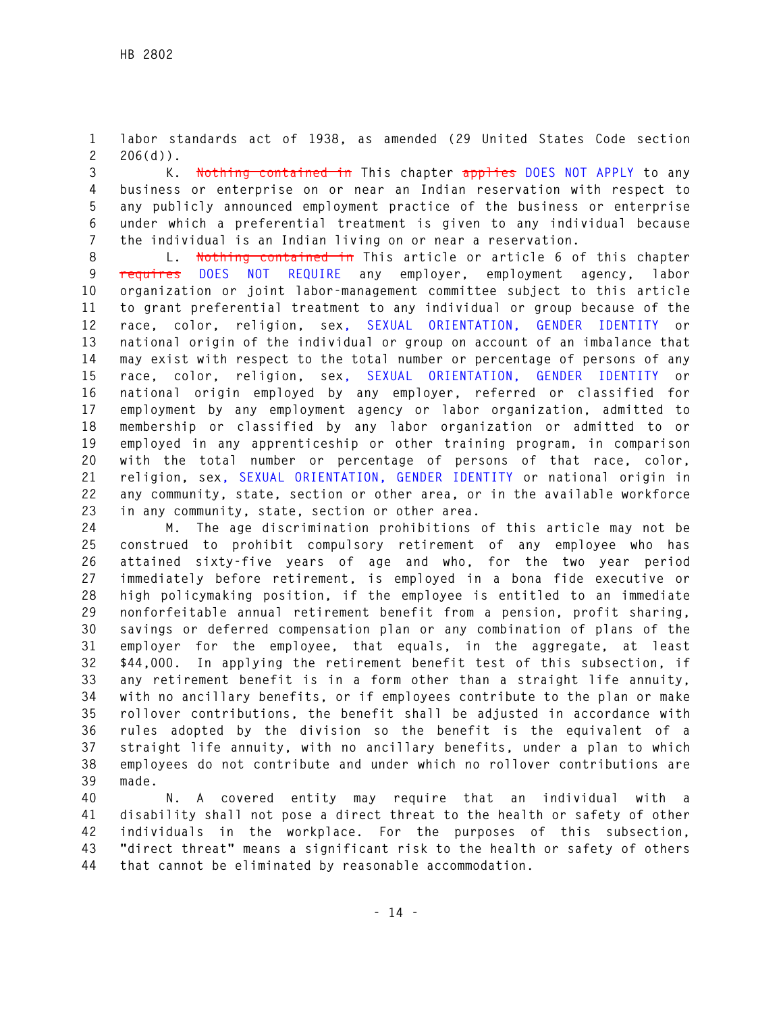**1 labor standards act of 1938, as amended (29 United States Code section 2 206(d)).** 

**3 K. Nothing contained in This chapter applies DOES NOT APPLY to any 4 business or enterprise on or near an Indian reservation with respect to 5 any publicly announced employment practice of the business or enterprise 6 under which a preferential treatment is given to any individual because 7 the individual is an Indian living on or near a reservation.** 

**8 L. Nothing contained in This article or article 6 of this chapter 9 requires DOES NOT REQUIRE any employer, employment agency, labor 10 organization or joint labor-management committee subject to this article 11 to grant preferential treatment to any individual or group because of the 12 race, color, religion, sex, SEXUAL ORIENTATION, GENDER IDENTITY or 13 national origin of the individual or group on account of an imbalance that 14 may exist with respect to the total number or percentage of persons of any 15 race, color, religion, sex, SEXUAL ORIENTATION, GENDER IDENTITY or 16 national origin employed by any employer, referred or classified for 17 employment by any employment agency or labor organization, admitted to 18 membership or classified by any labor organization or admitted to or 19 employed in any apprenticeship or other training program, in comparison 20 with the total number or percentage of persons of that race, color, 21 religion, sex, SEXUAL ORIENTATION, GENDER IDENTITY or national origin in 22 any community, state, section or other area, or in the available workforce 23 in any community, state, section or other area.** 

**24 M. The age discrimination prohibitions of this article may not be 25 construed to prohibit compulsory retirement of any employee who has 26 attained sixty-five years of age and who, for the two year period 27 immediately before retirement, is employed in a bona fide executive or 28 high policymaking position, if the employee is entitled to an immediate 29 nonforfeitable annual retirement benefit from a pension, profit sharing, 30 savings or deferred compensation plan or any combination of plans of the 31 employer for the employee, that equals, in the aggregate, at least 32 \$44,000. In applying the retirement benefit test of this subsection, if 33 any retirement benefit is in a form other than a straight life annuity, 34 with no ancillary benefits, or if employees contribute to the plan or make 35 rollover contributions, the benefit shall be adjusted in accordance with 36 rules adopted by the division so the benefit is the equivalent of a 37 straight life annuity, with no ancillary benefits, under a plan to which 38 employees do not contribute and under which no rollover contributions are 39 made.** 

**40 N. A covered entity may require that an individual with a 41 disability shall not pose a direct threat to the health or safety of other 42 individuals in the workplace. For the purposes of this subsection, 43 "direct threat" means a significant risk to the health or safety of others 44 that cannot be eliminated by reasonable accommodation.**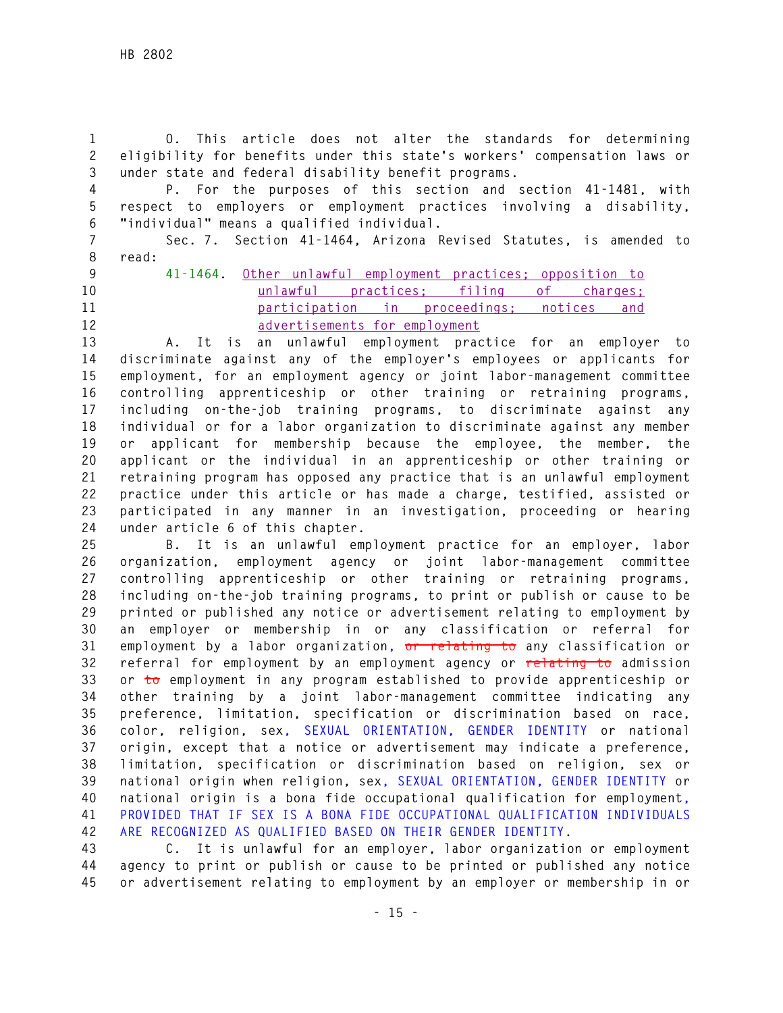**1 O. This article does not alter the standards for determining 2 eligibility for benefits under this state's workers' compensation laws or 3 under state and federal disability benefit programs.** 

**4 P. For the purposes of this section and section 41-1481, with 5 respect to employers or employment practices involving a disability, 6 "individual" means a qualified individual.** 

**7 Sec. 7. Section 41-1464, Arizona Revised Statutes, is amended to 8 read:** 

- 
- 
- 

**9 41-1464. Other unlawful employment practices; opposition to 10 unlawful practices; filing of charges; 11 participation in proceedings; notices and 12 advertisements for employment**

**13 A. It is an unlawful employment practice for an employer to 14 discriminate against any of the employer's employees or applicants for 15 employment, for an employment agency or joint labor-management committee 16 controlling apprenticeship or other training or retraining programs, 17 including on-the-job training programs, to discriminate against any 18 individual or for a labor organization to discriminate against any member 19 or applicant for membership because the employee, the member, the 20 applicant or the individual in an apprenticeship or other training or 21 retraining program has opposed any practice that is an unlawful employment 22 practice under this article or has made a charge, testified, assisted or 23 participated in any manner in an investigation, proceeding or hearing 24 under article 6 of this chapter.** 

**25 B. It is an unlawful employment practice for an employer, labor 26 organization, employment agency or joint labor-management committee 27 controlling apprenticeship or other training or retraining programs, 28 including on-the-job training programs, to print or publish or cause to be 29 printed or published any notice or advertisement relating to employment by 30 an employer or membership in or any classification or referral for 31 employment by a labor organization, or relating to any classification or 32 referral for employment by an employment agency or relating to admission 33 or to employment in any program established to provide apprenticeship or 34 other training by a joint labor-management committee indicating any 35 preference, limitation, specification or discrimination based on race, 36 color, religion, sex, SEXUAL ORIENTATION, GENDER IDENTITY or national 37 origin, except that a notice or advertisement may indicate a preference, 38 limitation, specification or discrimination based on religion, sex or 39 national origin when religion, sex, SEXUAL ORIENTATION, GENDER IDENTITY or 40 national origin is a bona fide occupational qualification for employment, 41 PROVIDED THAT IF SEX IS A BONA FIDE OCCUPATIONAL QUALIFICATION INDIVIDUALS 42 ARE RECOGNIZED AS QUALIFIED BASED ON THEIR GENDER IDENTITY.** 

**43 C. It is unlawful for an employer, labor organization or employment 44 agency to print or publish or cause to be printed or published any notice 45 or advertisement relating to employment by an employer or membership in or**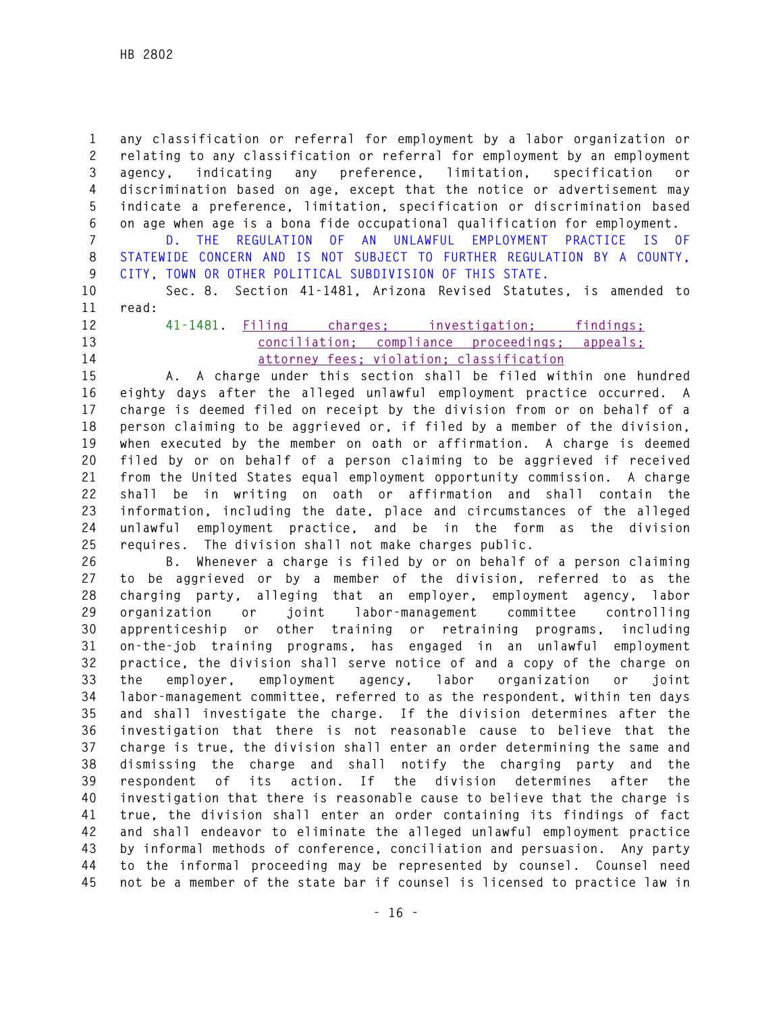**1 any classification or referral for employment by a labor organization or 2 relating to any classification or referral for employment by an employment 3 agency, indicating any preference, limitation, specification or 4 discrimination based on age, except that the notice or advertisement may 5 indicate a preference, limitation, specification or discrimination based 6 on age when age is a bona fide occupational qualification for employment.** 

**7 D. THE REGULATION OF AN UNLAWFUL EMPLOYMENT PRACTICE IS OF 8 STATEWIDE CONCERN AND IS NOT SUBJECT TO FURTHER REGULATION BY A COUNTY, 9 CITY, TOWN OR OTHER POLITICAL SUBDIVISION OF THIS STATE.** 

**10 Sec. 8. Section 41-1481, Arizona Revised Statutes, is amended to 11 read:** 

- 
- 

**12 41-1481. Filing charges; investigation; findings; 13 conciliation; compliance proceedings; appeals; 14 attorney fees; violation; classification**

**15 A. A charge under this section shall be filed within one hundred 16 eighty days after the alleged unlawful employment practice occurred. A 17 charge is deemed filed on receipt by the division from or on behalf of a 18 person claiming to be aggrieved or, if filed by a member of the division, 19 when executed by the member on oath or affirmation. A charge is deemed 20 filed by or on behalf of a person claiming to be aggrieved if received 21 from the United States equal employment opportunity commission. A charge 22 shall be in writing on oath or affirmation and shall contain the 23 information, including the date, place and circumstances of the alleged 24 unlawful employment practice, and be in the form as the division 25 requires. The division shall not make charges public.** 

**26 B. Whenever a charge is filed by or on behalf of a person claiming 27 to be aggrieved or by a member of the division, referred to as the 28 charging party, alleging that an employer, employment agency, labor 29 organization or joint labor-management committee controlling 30 apprenticeship or other training or retraining programs, including 31 on-the-job training programs, has engaged in an unlawful employment 32 practice, the division shall serve notice of and a copy of the charge on 33 the employer, employment agency, labor organization or joint 34 labor-management committee, referred to as the respondent, within ten days 35 and shall investigate the charge. If the division determines after the 36 investigation that there is not reasonable cause to believe that the 37 charge is true, the division shall enter an order determining the same and 38 dismissing the charge and shall notify the charging party and the 39 respondent of its action. If the division determines after the 40 investigation that there is reasonable cause to believe that the charge is 41 true, the division shall enter an order containing its findings of fact 42 and shall endeavor to eliminate the alleged unlawful employment practice 43 by informal methods of conference, conciliation and persuasion. Any party 44 to the informal proceeding may be represented by counsel. Counsel need 45 not be a member of the state bar if counsel is licensed to practice law in**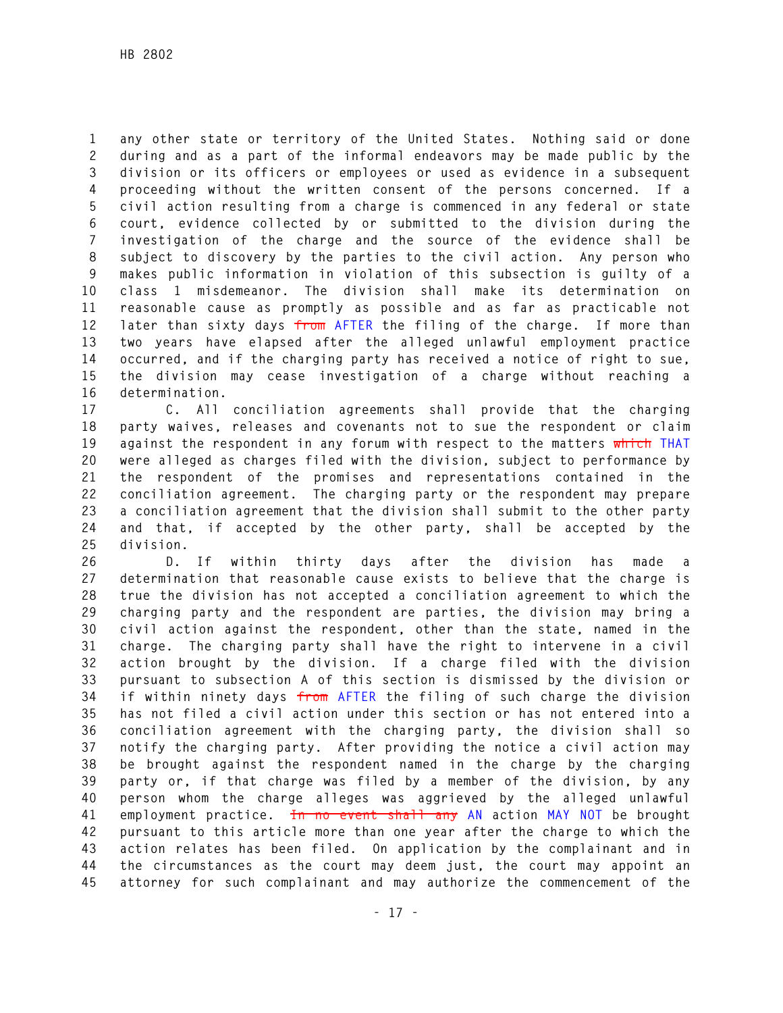**1 any other state or territory of the United States. Nothing said or done 2 during and as a part of the informal endeavors may be made public by the 3 division or its officers or employees or used as evidence in a subsequent 4 proceeding without the written consent of the persons concerned. If a 5 civil action resulting from a charge is commenced in any federal or state 6 court, evidence collected by or submitted to the division during the 7 investigation of the charge and the source of the evidence shall be 8 subject to discovery by the parties to the civil action. Any person who 9 makes public information in violation of this subsection is guilty of a 10 class 1 misdemeanor. The division shall make its determination on 11 reasonable cause as promptly as possible and as far as practicable not 12 later than sixty days from AFTER the filing of the charge. If more than 13 two years have elapsed after the alleged unlawful employment practice 14 occurred, and if the charging party has received a notice of right to sue, 15 the division may cease investigation of a charge without reaching a 16 determination.** 

**17 C. All conciliation agreements shall provide that the charging 18 party waives, releases and covenants not to sue the respondent or claim 19 against the respondent in any forum with respect to the matters which THAT 20 were alleged as charges filed with the division, subject to performance by 21 the respondent of the promises and representations contained in the 22 conciliation agreement. The charging party or the respondent may prepare 23 a conciliation agreement that the division shall submit to the other party 24 and that, if accepted by the other party, shall be accepted by the 25 division.** 

**26 D. If within thirty days after the division has made a 27 determination that reasonable cause exists to believe that the charge is 28 true the division has not accepted a conciliation agreement to which the 29 charging party and the respondent are parties, the division may bring a 30 civil action against the respondent, other than the state, named in the 31 charge. The charging party shall have the right to intervene in a civil 32 action brought by the division. If a charge filed with the division 33 pursuant to subsection A of this section is dismissed by the division or 34 if within ninety days from AFTER the filing of such charge the division 35 has not filed a civil action under this section or has not entered into a 36 conciliation agreement with the charging party, the division shall so 37 notify the charging party. After providing the notice a civil action may 38 be brought against the respondent named in the charge by the charging 39 party or, if that charge was filed by a member of the division, by any 40 person whom the charge alleges was aggrieved by the alleged unlawful 41 employment practice. In no event shall any AN action MAY NOT be brought 42 pursuant to this article more than one year after the charge to which the 43 action relates has been filed. On application by the complainant and in 44 the circumstances as the court may deem just, the court may appoint an 45 attorney for such complainant and may authorize the commencement of the**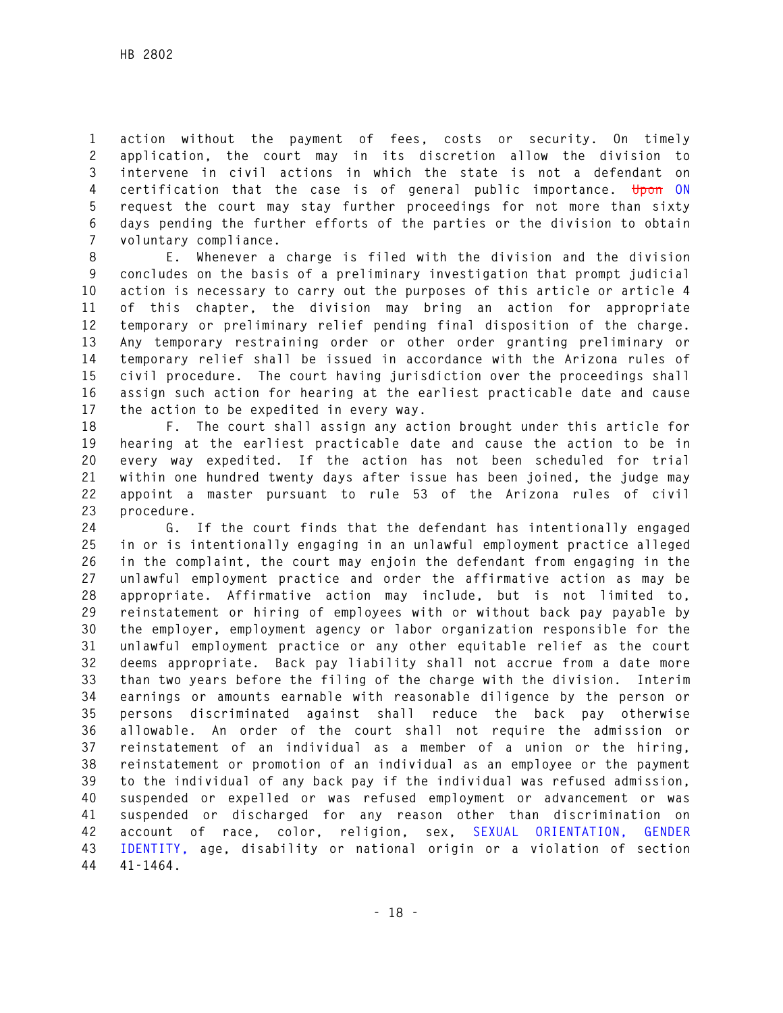**1 action without the payment of fees, costs or security. On timely 2 application, the court may in its discretion allow the division to 3 intervene in civil actions in which the state is not a defendant on 4 certification that the case is of general public importance. Upon ON 5 request the court may stay further proceedings for not more than sixty 6 days pending the further efforts of the parties or the division to obtain 7 voluntary compliance.** 

**8 E. Whenever a charge is filed with the division and the division 9 concludes on the basis of a preliminary investigation that prompt judicial 10 action is necessary to carry out the purposes of this article or article 4 11 of this chapter, the division may bring an action for appropriate 12 temporary or preliminary relief pending final disposition of the charge. 13 Any temporary restraining order or other order granting preliminary or 14 temporary relief shall be issued in accordance with the Arizona rules of 15 civil procedure. The court having jurisdiction over the proceedings shall 16 assign such action for hearing at the earliest practicable date and cause 17 the action to be expedited in every way.** 

**18 F. The court shall assign any action brought under this article for 19 hearing at the earliest practicable date and cause the action to be in 20 every way expedited. If the action has not been scheduled for trial 21 within one hundred twenty days after issue has been joined, the judge may 22 appoint a master pursuant to rule 53 of the Arizona rules of civil 23 procedure.** 

**24 G. If the court finds that the defendant has intentionally engaged 25 in or is intentionally engaging in an unlawful employment practice alleged 26 in the complaint, the court may enjoin the defendant from engaging in the 27 unlawful employment practice and order the affirmative action as may be 28 appropriate. Affirmative action may include, but is not limited to, 29 reinstatement or hiring of employees with or without back pay payable by 30 the employer, employment agency or labor organization responsible for the 31 unlawful employment practice or any other equitable relief as the court 32 deems appropriate. Back pay liability shall not accrue from a date more 33 than two years before the filing of the charge with the division. Interim 34 earnings or amounts earnable with reasonable diligence by the person or 35 persons discriminated against shall reduce the back pay otherwise 36 allowable. An order of the court shall not require the admission or 37 reinstatement of an individual as a member of a union or the hiring, 38 reinstatement or promotion of an individual as an employee or the payment 39 to the individual of any back pay if the individual was refused admission, 40 suspended or expelled or was refused employment or advancement or was 41 suspended or discharged for any reason other than discrimination on 42 account of race, color, religion, sex, SEXUAL ORIENTATION, GENDER 43 IDENTITY, age, disability or national origin or a violation of section 44 41-1464.**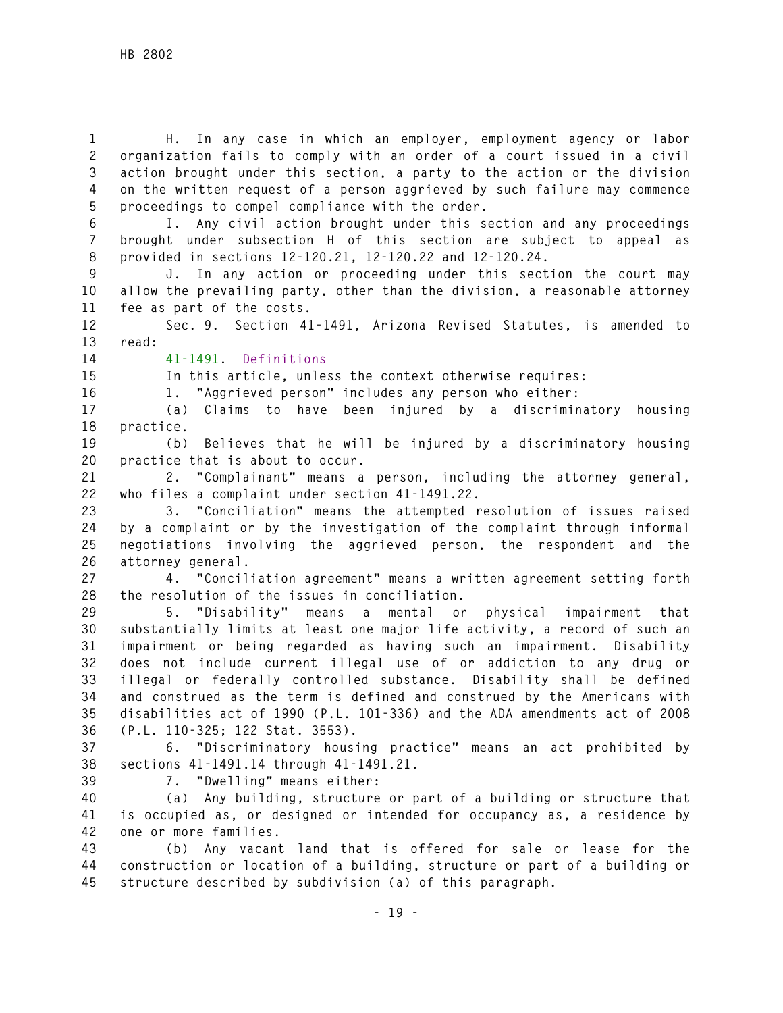**1 H. In any case in which an employer, employment agency or labor 2 organization fails to comply with an order of a court issued in a civil 3 action brought under this section, a party to the action or the division 4 on the written request of a person aggrieved by such failure may commence 5 proceedings to compel compliance with the order.** 

**6 I. Any civil action brought under this section and any proceedings 7 brought under subsection H of this section are subject to appeal as 8 provided in sections 12-120.21, 12-120.22 and 12-120.24.** 

**9 J. In any action or proceeding under this section the court may 10 allow the prevailing party, other than the division, a reasonable attorney 11 fee as part of the costs.** 

**12 Sec. 9. Section 41-1491, Arizona Revised Statutes, is amended to 13 read:** 

## **14 41-1491. Definitions**

**15 In this article, unless the context otherwise requires:** 

**16 1. "Aggrieved person" includes any person who either:** 

**17 (a) Claims to have been injured by a discriminatory housing 18 practice.** 

**19 (b) Believes that he will be injured by a discriminatory housing 20 practice that is about to occur.** 

**21 2. "Complainant" means a person, including the attorney general, 22 who files a complaint under section 41-1491.22.** 

**23 3. "Conciliation" means the attempted resolution of issues raised 24 by a complaint or by the investigation of the complaint through informal 25 negotiations involving the aggrieved person, the respondent and the 26 attorney general.** 

**27 4. "Conciliation agreement" means a written agreement setting forth 28 the resolution of the issues in conciliation.** 

**29 5. "Disability" means a mental or physical impairment that 30 substantially limits at least one major life activity, a record of such an 31 impairment or being regarded as having such an impairment. Disability 32 does not include current illegal use of or addiction to any drug or 33 illegal or federally controlled substance. Disability shall be defined 34 and construed as the term is defined and construed by the Americans with 35 disabilities act of 1990 (P.L. 101-336) and the ADA amendments act of 2008 36 (P.L. 110-325; 122 Stat. 3553).** 

**37 6. "Discriminatory housing practice" means an act prohibited by 38 sections 41-1491.14 through 41-1491.21.** 

**39 7. "Dwelling" means either:** 

**40 (a) Any building, structure or part of a building or structure that 41 is occupied as, or designed or intended for occupancy as, a residence by 42 one or more families.** 

**43 (b) Any vacant land that is offered for sale or lease for the 44 construction or location of a building, structure or part of a building or 45 structure described by subdivision (a) of this paragraph.**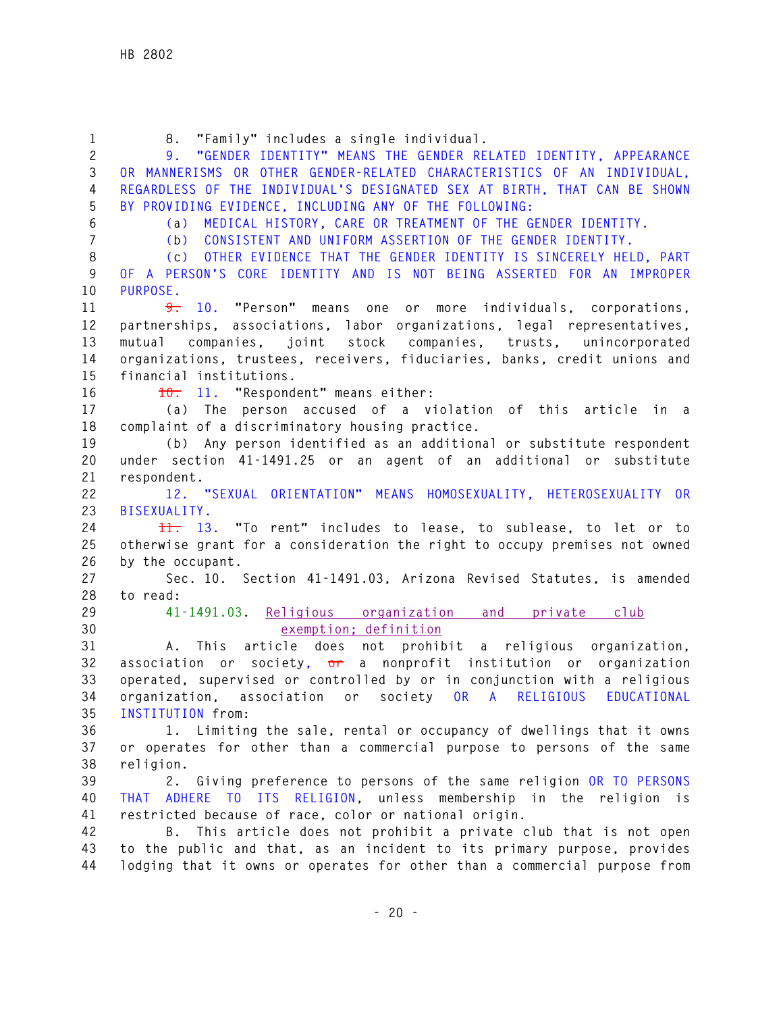| $\mathbf{1}$            | 8. "Family" includes a single individual.                                  |
|-------------------------|----------------------------------------------------------------------------|
| $\mathbf{2}$            | "GENDER IDENTITY" MEANS THE GENDER RELATED IDENTITY, APPEARANCE<br>9.      |
| 3                       | OR MANNERISMS OR OTHER GENDER-RELATED CHARACTERISTICS OF AN INDIVIDUAL,    |
| 4                       | REGARDLESS OF THE INDIVIDUAL'S DESIGNATED SEX AT BIRTH, THAT CAN BE SHOWN  |
| 5                       | BY PROVIDING EVIDENCE, INCLUDING ANY OF THE FOLLOWING:                     |
|                         |                                                                            |
| $6\,$<br>$\overline{7}$ | MEDICAL HISTORY, CARE OR TREATMENT OF THE GENDER IDENTITY.<br>(a)          |
|                         | CONSISTENT AND UNIFORM ASSERTION OF THE GENDER IDENTITY.<br>(b)            |
| 8                       | OTHER EVIDENCE THAT THE GENDER IDENTITY IS SINCERELY HELD, PART<br>(c)     |
| 9                       | OF A PERSON'S CORE IDENTITY AND IS NOT BEING ASSERTED FOR AN IMPROPER      |
| 10                      | PURPOSE.                                                                   |
| 11                      | <del>9.</del> 10. "Person" means one or more individuals, corporations,    |
| 12                      | partnerships, associations, labor organizations, legal representatives,    |
| 13                      | companies, joint stock companies, trusts, unincorporated<br>mutual         |
| 14                      | organizations, trustees, receivers, fiduciaries, banks, credit unions and  |
| 15                      | financial institutions.                                                    |
| 16                      | 10. 11. "Respondent" means either:                                         |
| 17                      | (a) The person accused of a violation of this article in a                 |
| 18                      | complaint of a discriminatory housing practice.                            |
| 19                      | (b) Any person identified as an additional or substitute respondent        |
| 20                      | under section 41-1491.25 or an agent of an additional or substitute        |
| 21                      | respondent.                                                                |
| 22                      | 12. "SEXUAL ORIENTATION" MEANS HOMOSEXUALITY, HETEROSEXUALITY OR           |
| 23                      | BISEXUALITY.                                                               |
| 24                      | 11. 13. "To rent" includes to lease, to sublease, to let or to             |
| 25                      | otherwise grant for a consideration the right to occupy premises not owned |
| 26                      | by the occupant.                                                           |
| 27                      | Sec. 10. Section 41-1491.03, Arizona Revised Statutes, is amended          |
| 28                      | to read:                                                                   |
| 29                      | 41-1491.03. Religious organization and private club                        |
| 30                      | exemption; definition                                                      |
| 31                      | A. This article does not prohibit a religious organization,                |
| 32                      | association or society, or a nonprofit institution or organization         |
| 33                      | operated, supervised or controlled by or in conjunction with a religious   |
| 34                      | organization,<br>association or society OR A RELIGIOUS<br>EDUCATIONAL      |
| 35                      | INSTITUTION from:                                                          |
| 36                      | 1. Limiting the sale, rental or occupancy of dwellings that it owns        |
| 37                      | or operates for other than a commercial purpose to persons of the same     |
| 38                      | religion.                                                                  |
| 39                      | 2. Giving preference to persons of the same religion OR TO PERSONS         |
| 40                      | THAT ADHERE TO ITS RELIGION, unless membership in the religion is          |
| 41                      | restricted because of race, color or national origin.                      |
| 42                      | B. This article does not prohibit a private club that is not open          |
| 43                      | to the public and that, as an incident to its primary purpose, provides    |
| 44                      | lodging that it owns or operates for other than a commercial purpose from  |
|                         |                                                                            |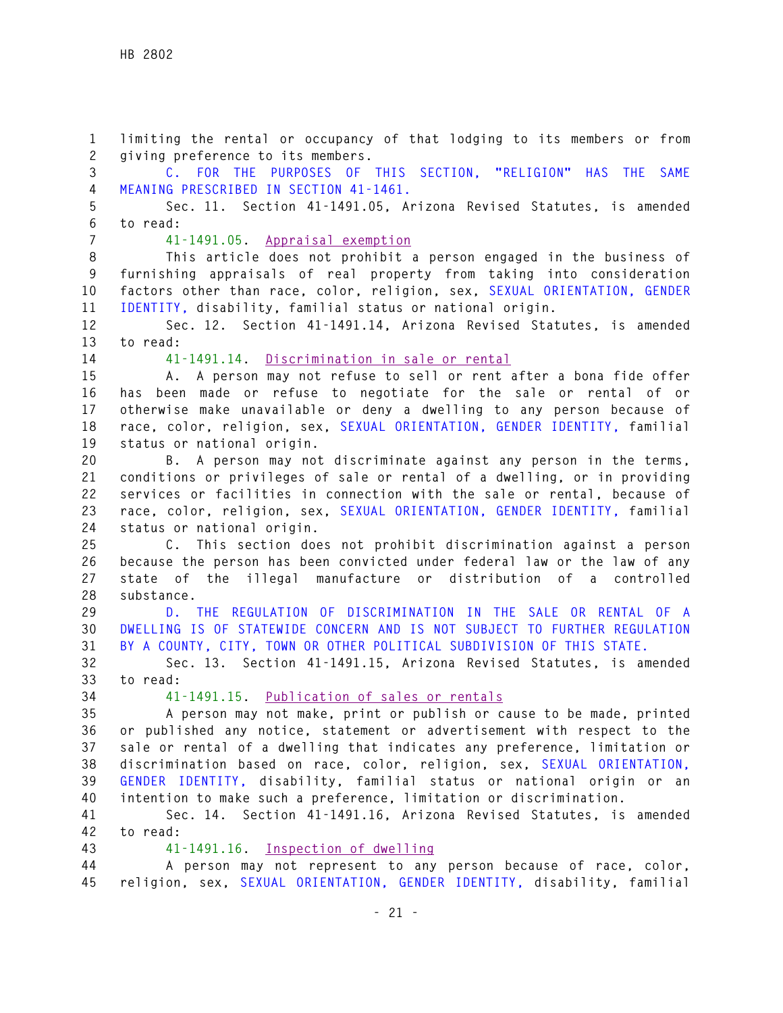**1 limiting the rental or occupancy of that lodging to its members or from 2 giving preference to its members. 3 C. FOR THE PURPOSES OF THIS SECTION, "RELIGION" HAS THE SAME 4 MEANING PRESCRIBED IN SECTION 41-1461. 5 Sec. 11. Section 41-1491.05, Arizona Revised Statutes, is amended 6 to read: 7 41-1491.05. Appraisal exemption 8 This article does not prohibit a person engaged in the business of 9 furnishing appraisals of real property from taking into consideration 10 factors other than race, color, religion, sex, SEXUAL ORIENTATION, GENDER 11 IDENTITY, disability, familial status or national origin. 12 Sec. 12. Section 41-1491.14, Arizona Revised Statutes, is amended 13 to read: 14 41-1491.14. Discrimination in sale or rental 15 A. A person may not refuse to sell or rent after a bona fide offer 16 has been made or refuse to negotiate for the sale or rental of or 17 otherwise make unavailable or deny a dwelling to any person because of 18 race, color, religion, sex, SEXUAL ORIENTATION, GENDER IDENTITY, familial 19 status or national origin. 20 B. A person may not discriminate against any person in the terms, 21 conditions or privileges of sale or rental of a dwelling, or in providing 22 services or facilities in connection with the sale or rental, because of 23 race, color, religion, sex, SEXUAL ORIENTATION, GENDER IDENTITY, familial 24 status or national origin. 25 C. This section does not prohibit discrimination against a person 26 because the person has been convicted under federal law or the law of any 27 state of the illegal manufacture or distribution of a controlled 28 substance. 29 D. THE REGULATION OF DISCRIMINATION IN THE SALE OR RENTAL OF A 30 DWELLING IS OF STATEWIDE CONCERN AND IS NOT SUBJECT TO FURTHER REGULATION 31 BY A COUNTY, CITY, TOWN OR OTHER POLITICAL SUBDIVISION OF THIS STATE. 32 Sec. 13. Section 41-1491.15, Arizona Revised Statutes, is amended 33 to read: 34 41-1491.15. Publication of sales or rentals 35 A person may not make, print or publish or cause to be made, printed 36 or published any notice, statement or advertisement with respect to the 37 sale or rental of a dwelling that indicates any preference, limitation or 38 discrimination based on race, color, religion, sex, SEXUAL ORIENTATION, 39 GENDER IDENTITY, disability, familial status or national origin or an 40 intention to make such a preference, limitation or discrimination. 41 Sec. 14. Section 41-1491.16, Arizona Revised Statutes, is amended 42 to read: 43 41-1491.16. Inspection of dwelling 44 A person may not represent to any person because of race, color, 45 religion, sex, SEXUAL ORIENTATION, GENDER IDENTITY, disability, familial**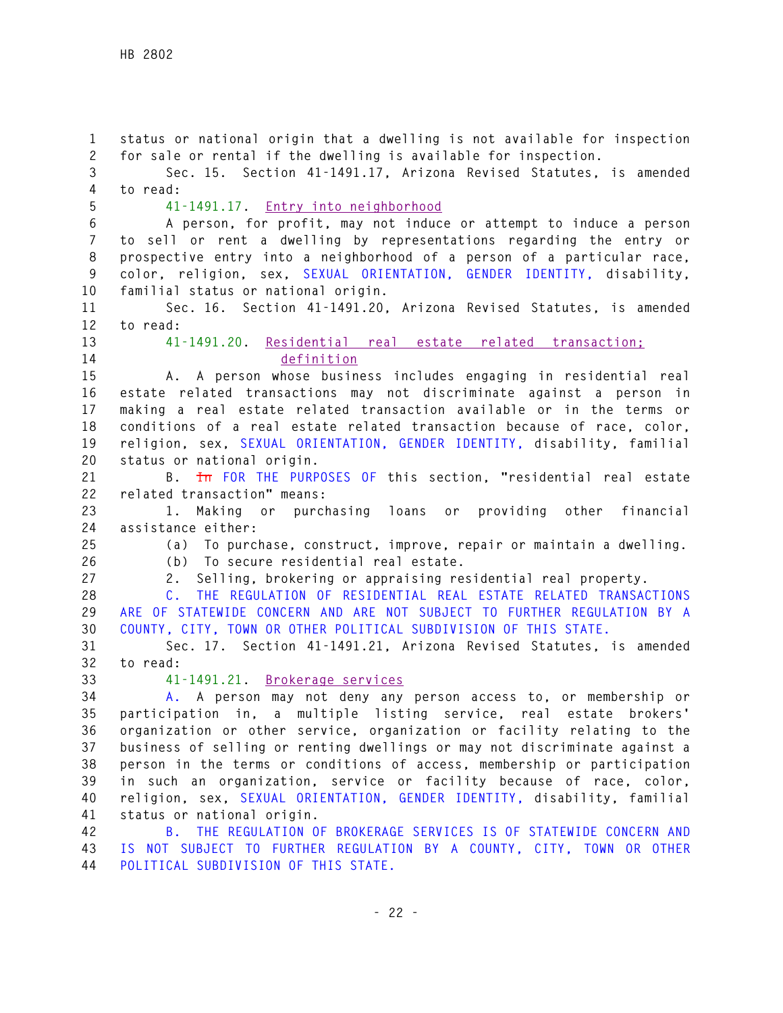**1 status or national origin that a dwelling is not available for inspection 2 for sale or rental if the dwelling is available for inspection. 3 Sec. 15. Section 41-1491.17, Arizona Revised Statutes, is amended 4 to read: 5 41-1491.17. Entry into neighborhood 6 A person, for profit, may not induce or attempt to induce a person 7 to sell or rent a dwelling by representations regarding the entry or 8 prospective entry into a neighborhood of a person of a particular race, 9 color, religion, sex, SEXUAL ORIENTATION, GENDER IDENTITY, disability, 10 familial status or national origin. 11 Sec. 16. Section 41-1491.20, Arizona Revised Statutes, is amended 12 to read: 13 41-1491.20. Residential real estate related transaction; 14 definition 15 A. A person whose business includes engaging in residential real 16 estate related transactions may not discriminate against a person in 17 making a real estate related transaction available or in the terms or 18 conditions of a real estate related transaction because of race, color, 19 religion, sex, SEXUAL ORIENTATION, GENDER IDENTITY, disability, familial 20 status or national origin. 21 B. In FOR THE PURPOSES OF this section, "residential real estate 22 related transaction" means: 23 1. Making or purchasing loans or providing other financial 24 assistance either: 25 (a) To purchase, construct, improve, repair or maintain a dwelling. 26 (b) To secure residential real estate. 27 2. Selling, brokering or appraising residential real property. 28 C. THE REGULATION OF RESIDENTIAL REAL ESTATE RELATED TRANSACTIONS 29 ARE OF STATEWIDE CONCERN AND ARE NOT SUBJECT TO FURTHER REGULATION BY A 30 COUNTY, CITY, TOWN OR OTHER POLITICAL SUBDIVISION OF THIS STATE. 31 Sec. 17. Section 41-1491.21, Arizona Revised Statutes, is amended 32 to read: 33 41-1491.21. Brokerage services 34 A. A person may not deny any person access to, or membership or 35 participation in, a multiple listing service, real estate brokers' 36 organization or other service, organization or facility relating to the 37 business of selling or renting dwellings or may not discriminate against a 38 person in the terms or conditions of access, membership or participation 39 in such an organization, service or facility because of race, color, 40 religion, sex, SEXUAL ORIENTATION, GENDER IDENTITY, disability, familial 41 status or national origin. 42 B. THE REGULATION OF BROKERAGE SERVICES IS OF STATEWIDE CONCERN AND 43 IS NOT SUBJECT TO FURTHER REGULATION BY A COUNTY, CITY, TOWN OR OTHER**